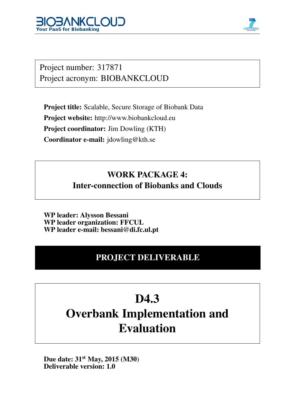



Project number: 317871 Project acronym: BIOBANKCLOUD

Project title: Scalable, Secure Storage of Biobank Data Project website: http://www.biobankcloud.eu Project coordinator: Jim Dowling (KTH) Coordinator e-mail: jdowling@kth.se

## WORK PACKAGE 4: Inter-connection of Biobanks and Clouds

WP leader: Alysson Bessani WP leader organization: FFCUL WP leader e-mail: bessani@di.fc.ul.pt

### PROJECT DELIVERABLE

## D<sub>4.3</sub> Overbank Implementation and Evaluation

Due date: 31<sup>st</sup> May, 2015 (M30) Deliverable version: 1.0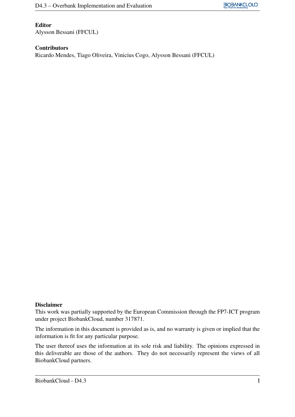#### Editor

Alysson Bessani (FFCUL)

#### Contributors

Ricardo Mendes, Tiago Oliveira, Vinicius Cogo, Alysson Bessani (FFCUL)

#### Disclaimer

This work was partially supported by the European Commission through the FP7-ICT program under project BiobankCloud, number 317871.

The information in this document is provided as is, and no warranty is given or implied that the information is fit for any particular purpose.

The user thereof uses the information at its sole risk and liability. The opinions expressed in this deliverable are those of the authors. They do not necessarily represent the views of all BiobankCloud partners.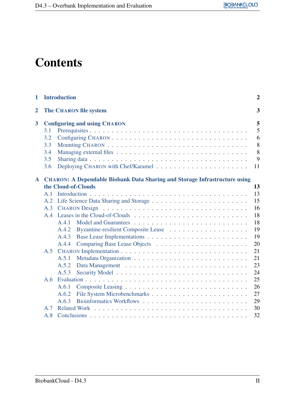## **Contents**

| 1              |                                        | <b>Introduction</b>                                                               | $\overline{2}$                   |
|----------------|----------------------------------------|-----------------------------------------------------------------------------------|----------------------------------|
| $\overline{2}$ |                                        | <b>The CHARON file system</b>                                                     | 3                                |
| 3              | 3.1<br>3.2<br>3.3<br>3.4<br>3.5<br>3.6 | <b>Configuring and using CHARON</b>                                               | 5<br>5<br>6<br>8<br>8<br>9<br>11 |
| ${\bf A}$      |                                        | <b>CHARON: A Dependable Biobank Data Sharing and Storage Infrastructure using</b> |                                  |
|                |                                        | the Cloud-of-Clouds                                                               | 13                               |
|                | A.1                                    |                                                                                   | 13                               |
|                | A.2                                    |                                                                                   | 15                               |
|                | A.3                                    |                                                                                   | 16                               |
|                | A.4                                    |                                                                                   | 18                               |
|                |                                        | A.4.1                                                                             | 18                               |
|                |                                        | A.4.2                                                                             | 19                               |
|                |                                        | A.4.3                                                                             | 19                               |
|                |                                        | A.4.4                                                                             | 20                               |
|                |                                        |                                                                                   | 21                               |
|                |                                        | A.5.1                                                                             | 21                               |
|                |                                        | A.5.2                                                                             | 23                               |
|                |                                        | A.5.3                                                                             | 24                               |
|                | A.6                                    |                                                                                   | 25                               |
|                |                                        | A.6.1                                                                             | 26                               |
|                |                                        | A.6.2                                                                             | 27                               |
|                |                                        | A.6.3                                                                             | 29                               |
|                | A.7                                    |                                                                                   | 30                               |
|                | A.8                                    |                                                                                   | 32                               |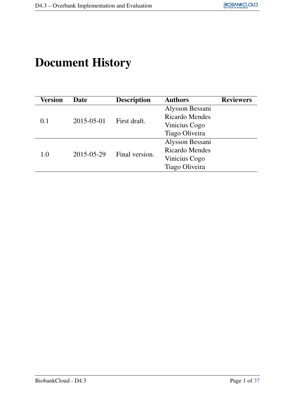## Document History

| Date       | <b>Description</b> | <b>Authors</b>        | <b>Reviewers</b> |
|------------|--------------------|-----------------------|------------------|
| 2015-05-01 | First draft.       | Alysson Bessani       |                  |
|            |                    | <b>Ricardo Mendes</b> |                  |
|            |                    | Vinicius Cogo         |                  |
|            |                    | Tiago Oliveira        |                  |
|            | Final version.     | Alysson Bessani       |                  |
| 2015-05-29 |                    | <b>Ricardo Mendes</b> |                  |
|            |                    | Vinicius Cogo         |                  |
|            |                    | Tiago Oliveira        |                  |
|            |                    |                       |                  |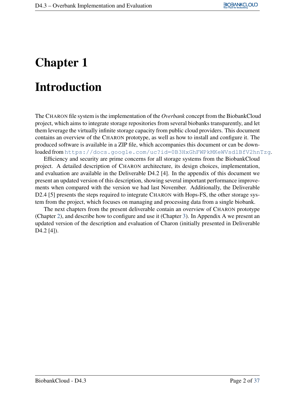## <span id="page-4-0"></span>Chapter 1

## Introduction

The CHARON file system is the implementation of the *Overbank* concept from the BiobankCloud project, which aims to integrate storage repositories from several biobanks transparently, and let them leverage the virtually infinite storage capacity from public cloud providers. This document contains an overview of the CHARON prototype, as well as how to install and configure it. The produced software is available in a ZIP file, which accompanies this document or can be downloaded from <https://docs.google.com/uc?id=0B3HxGhFWPkMKeWVsdlBfV2hnTzg>.

Efficiency and security are prime concerns for all storage systems from the BiobankCloud project. A detailed description of CHARON architecture, its design choices, implementation, and evaluation are available in the Deliverable D4.2 [4]. In the appendix of this document we present an updated version of this description, showing several important performance improvements when compared with the version we had last November. Additionally, the Deliverable D2.4 [5] presents the steps required to integrate CHARON with Hops-FS, the other storage system from the project, which focuses on managing and processing data from a single biobank.

The next chapters from the present deliverable contain an overview of CHARON prototype (Chapter [2\)](#page-5-0), and describe how to configure and use it (Chapter [3\)](#page-7-0). In Appendix A we present an updated version of the description and evaluation of Charon (initially presented in Deliverable D<sub>4.2</sub> [4]).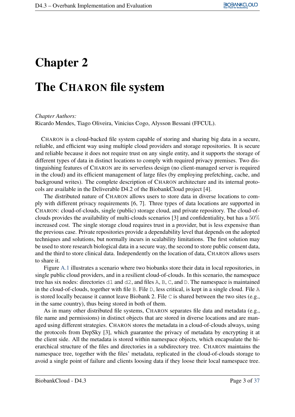## <span id="page-5-0"></span>Chapter 2

## The CHARON file system

*Chapter Authors:*

Ricardo Mendes, Tiago Oliveira, Vinicius Cogo, Alysson Bessani (FFCUL).

CHARON is a cloud-backed file system capable of storing and sharing big data in a secure, reliable, and efficient way using multiple cloud providers and storage repositories. It is secure and reliable because it does not require trust on any single entity, and it supports the storage of different types of data in distinct locations to comply with required privacy premises. Two distinguishing features of CHARON are its serverless design (no client-managed server is required in the cloud) and its efficient management of large files (by employing prefetching, cache, and background writes). The complete description of CHARON architecture and its internal protocols are available in the Deliverable D4.2 of the BiobankCloud project [4].

The distributed nature of CHARON allows users to store data in diverse locations to comply with different privacy requirements [6, 7]. Three types of data locations are supported in CHARON: cloud-of-clouds, single (public) storage cloud, and private repository. The cloud-ofclouds provides the availability of multi-clouds scenarios [3] and confidentiality, but has a 50% increased cost. The single storage cloud requires trust in a provider, but is less expensive than the previous case. Private repositories provide a dependability level that depends on the adopted techniques and solutions, but normally incurs in scalability limitations. The first solution may be used to store research biological data in a secure way, the second to store public consent data, and the third to store clinical data. Independently on the location of data, CHARON allows users to share it.

Figure [A.1](#page-19-0) illustrates a scenario where two biobanks store their data in local repositories, in single public cloud providers, and in a resilient cloud-of-clouds. In this scenario, the namespace tree has six nodes: directories d1 and d2, and files A, B, C, and D. The namespace is maintained in the cloud-of-clouds, together with file B. File D, less critical, is kept in a single cloud. File A is stored locally because it cannot leave Biobank 2. File C is shared between the two sites (e.g., in the same country), thus being stored in both of them.

As in many other distributed file systems, CHARON separates file data and metadata (e.g., file name and permissions) in distinct objects that are stored in diverse locations and are managed using different strategies. CHARON stores the metadata in a cloud-of-clouds always, using the protocols from DepSky [3], which guarantee the privacy of metadata by encrypting it at the client side. All the metadata is stored within namespace objects, which encapsulate the hierarchical structure of the files and directories in a subdirectory tree. CHARON maintains the namespace tree, together with the files' metadata, replicated in the cloud-of-clouds storage to avoid a single point of failure and clients loosing data if they loose their local namespace tree.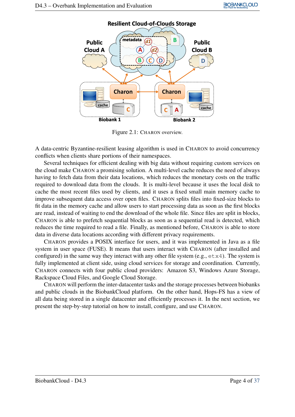

Figure 2.1: CHARON overview.

A data-centric Byzantine-resilient leasing algorithm is used in CHARON to avoid concurrency conflicts when clients share portions of their namespaces.

Several techniques for efficient dealing with big data without requiring custom services on the cloud make CHARON a promising solution. A multi-level cache reduces the need of always having to fetch data from their data locations, which reduces the monetary costs on the traffic required to download data from the clouds. It is multi-level because it uses the local disk to cache the most recent files used by clients, and it uses a fixed small main memory cache to improve subsequent data access over open files. CHARON splits files into fixed-size blocks to fit data in the memory cache and allow users to start processing data as soon as the first blocks are read, instead of waiting to end the download of the whole file. Since files are split in blocks, CHARON is able to prefetch sequential blocks as soon as a sequential read is detected, which reduces the time required to read a file. Finally, as mentioned before, CHARON is able to store data in diverse data locations according with different privacy requirements.

CHARON provides a POSIX interface for users, and it was implemented in Java as a file system in user space (FUSE). It means that users interact with CHARON (after installed and configured) in the same way they interact with any other file system  $(e.g., e+x4)$ . The system is fully implemented at client side, using cloud services for storage and coordination. Currently, CHARON connects with four public cloud providers: Amazon S3, Windows Azure Storage, Rackspace Cloud Files, and Google Cloud Storage.

CHARON will perform the inter-datacenter tasks and the storage processes between biobanks and public clouds in the BiobankCloud platform. On the other hand, Hops-FS has a view of all data being stored in a single datacenter and efficiently processes it. In the next section, we present the step-by-step tutorial on how to install, configure, and use CHARON.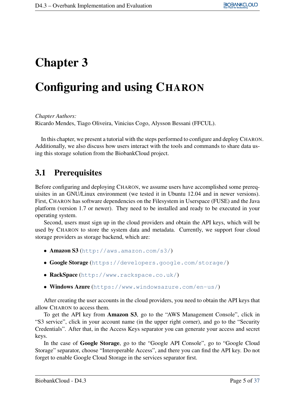## <span id="page-7-0"></span>Chapter 3

## Configuring and using CHARON

*Chapter Authors:*

Ricardo Mendes, Tiago Oliveira, Vinicius Cogo, Alysson Bessani (FFCUL).

In this chapter, we present a tutorial with the steps performed to configure and deploy CHARON. Additionally, we also discuss how users interact with the tools and commands to share data using this storage solution from the BiobankCloud project.

### <span id="page-7-1"></span>3.1 Prerequisites

Before configuring and deploying CHARON, we assume users have accomplished some prerequisites in an GNU/Linux environment (we tested it in Ubuntu 12.04 and in newer versions). First, CHARON has software dependencies on the Filesystem in Userspace (FUSE) and the Java platform (version 1.7 or newer). They need to be installed and ready to be executed in your operating system.

Second, users must sign up in the cloud providers and obtain the API keys, which will be used by CHARON to store the system data and metadata. Currently, we support four cloud storage providers as storage backend, which are:

- Amazon S3 (<http://aws.amazon.com/s3/>)
- Google Storage (<https://developers.google.com/storage/>)
- RackSpace (<http://www.rackspace.co.uk/>)
- Windows Azure (<https://www.windowsazure.com/en-us/>)

After creating the user accounts in the cloud providers, you need to obtain the API keys that allow CHARON to access them.

To get the API key from Amazon S3, go to the "AWS Management Console", click in "S3 service", click in your account name (in the upper right corner), and go to the "Security Credentials". After that, in the Access Keys separator you can generate your access and secret keys.

In the case of Google Storage, go to the "Google API Console", go to "Google Cloud Storage" separator, choose "Interoperable Access", and there you can find the API key. Do not forget to enable Google Cloud Storage in the services separator first.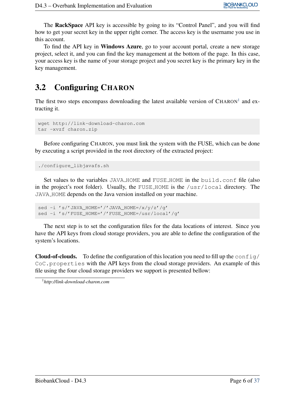The RackSpace API key is accessible by going to its "Control Panel", and you will find how to get your secret key in the upper right corner. The access key is the username you use in this account.

To find the API key in Windows Azure, go to your account portal, create a new storage project, select it, and you can find the key management at the bottom of the page. In this case, your access key is the name of your storage project and you secret key is the primary key in the key management.

### <span id="page-8-0"></span>3.2 Configuring CHARON

The first two steps encompass downloading the latest available version of  $CHARON<sup>1</sup>$  $CHARON<sup>1</sup>$  $CHARON<sup>1</sup>$  and extracting it.

```
wget http://link-download-charon.com
tar -xvzf charon.zip
```
Before configuring CHARON, you must link the system with the FUSE, which can be done by executing a script provided in the root directory of the extracted project:

./configure\_libjavafs.sh

Set values to the variables JAVA HOME and FUSE HOME in the build.conf file (also in the project's root folder). Usually, the FUSE HOME is the /usr/local directory. The JAVA HOME depends on the Java version installed on your machine.

```
sed -i 's/'JAVA_HOME='/'JAVA_HOME=/x/y/z'/g'
sed -i 's/'FUSE_HOME='/'FUSE_HOME=/usr/local'/g'
```
The next step is to set the configuration files for the data locations of interest. Since you have the API keys from cloud storage providers, you are able to define the configuration of the system's locations.

**Cloud-of-clouds.** To define the configuration of this location you need to fill up the config/ CoC.properties with the API keys from the cloud storage providers. An example of this file using the four cloud storage providers we support is presented bellow:

<span id="page-8-1"></span><sup>1</sup>*http://link-download-charon.com*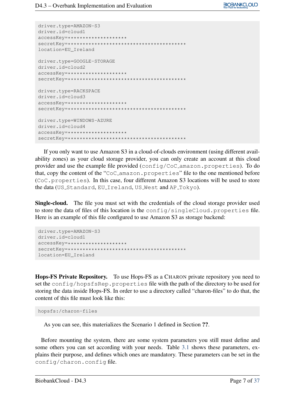```
driver.type=AMAZON-S3
driver.id=cloud1
accessKey=********************
secretKey=****************************************
location=EU_Ireland
driver.type=GOOGLE-STORAGE
driver.id=cloud2
accessKey=********************
secretKey=****************************************
driver.type=RACKSPACE
driver.id=cloud3
accessKey=********************
secretKey=****************************************
driver.type=WINDOWS-AZURE
driver.id=cloud4
accessKey=********************
secretKey=****************************************
```
If you only want to use Amazon S3 in a cloud-of-clouds environment (using different availability zones) as your cloud storage provider, you can only create an account at this cloud provider and use the example file provided (config/CoC amazon.properties). To do that, copy the content of the "CoC amazon.properties" file to the one mentioned before (CoC.properties). In this case, four different Amazon S3 locations will be used to store the data (US\_Standard, EU\_Ireland, US\_West and AP\_Tokyo).

Single-cloud. The file you must set with the credentials of the cloud storage provider used to store the data of files of this location is the config/singleCloud.properties file. Here is an example of this file configured to use Amazon S3 as storage backend:

```
driver.type=AMAZON-S3
driver.id=cloud1
accessKey=********************
secretKey=****************************************
location=EU_Ireland
```
Hops-FS Private Repository. To use Hops-FS as a CHARON private repository you need to set the config/hopsfsRep.properties file with the path of the directory to be used for storing the data inside Hops-FS. In order to use a directory called "charon-files" to do that, the content of this file must look like this:

hopsfs:/charon-files

As you can see, this materializes the Scenario 1 defined in Section ??.

Before mounting the system, there are some system parameters you still must define and some others you can set according with your needs. Table [3.1](#page-10-2) shows these parameters, explains their purpose, and defines which ones are mandatory. These parameters can be set in the config/charon.config file.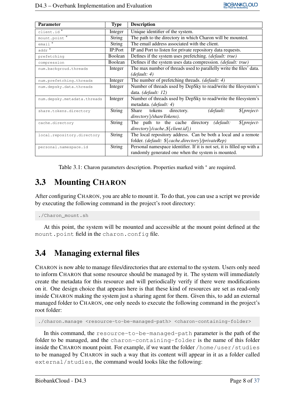| <b>Parameter</b>            | <b>Type</b>   | <b>Description</b>                                                      |  |  |
|-----------------------------|---------------|-------------------------------------------------------------------------|--|--|
| client.id*                  | Integer       | Unique identifier of the system.                                        |  |  |
| mount.point *               | <b>String</b> | The path to the directory in which Charon will be mounted.              |  |  |
| $email$ <sup>*</sup>        | <b>String</b> | The email address associated with the client.                           |  |  |
| $addr^*$                    | IP:Port       | IP and Port to listen for private repository data requests.             |  |  |
| prefetching                 | Boolean       | Defines if the system uses prefetching. (default: true)                 |  |  |
| compression                 | Boolean       | Defines if the system uses data compression. <i>(default: true)</i>     |  |  |
| num.backgroud.threads       | Integer       | The max number of threads used to parallelly write the files' data.     |  |  |
|                             |               | (default: 4)                                                            |  |  |
| num.prefetching.threads     | Integer       | The number of prefetching threads. (default: 4)                         |  |  |
| num.depsky.data.threads     | Integer       | Number of threads used by DepSky to read/write the filesystem's         |  |  |
|                             |               | data. (default: 12)                                                     |  |  |
| num.depsky.metadata.threads | Integer       | Number of threads used by DepSky to read/write the filesystem's         |  |  |
|                             |               | metadata. (default: 4)                                                  |  |  |
| share.tokens.directory      | <b>String</b> | directory.<br>de fault:<br>$$$ {project-<br>Share tokens                |  |  |
|                             |               | directory \/shareTokens).                                               |  |  |
| cache.directory             | <b>String</b> | The path to the cache directory<br>(default:<br>$$$ {project-           |  |  |
|                             |               | $directory\}/cache$ = $\{client.id\})$                                  |  |  |
| local.repository.directory  | <b>String</b> | The local repository address. Can be both a local and a remote          |  |  |
|                             |               | folder. (default: \${cache.directory}/privateRep)                       |  |  |
| personal.namespace.id       | <b>String</b> | Personal namespace identifier. If it is not set, it is filled up with a |  |  |
|                             |               | randomly generated one when the system is mounted.                      |  |  |

Table 3.1: Charon parameters description. Properties marked with  $*$  are required.

### <span id="page-10-2"></span><span id="page-10-0"></span>3.3 Mounting CHARON

After configuring CHARON, you are able to mount it. To do that, you can use a script we provide by executing the following command in the project's root directory:

./Charon mount.sh

At this point, the system will be mounted and accessible at the mount point defined at the mount.point field in the charon.config file.

### <span id="page-10-1"></span>3.4 Managing external files

CHARON is now able to manage files/directories that are external to the system. Users only need to inform CHARON that some resource should be managed by it. The system will immediately create the metadata for this resource and will periodically verify if there were modifications on it. One design choice that appears here is that these kind of resources are set as read-only inside CHARON making the system just a sharing agent for them. Given this, to add an external managed folder to CHARON, one only needs to execute the following command in the project's root folder:

./charon.manage <resource-to-be-managed-path> <charon-containing-folder>

In this command, the resource-to-be-managed-path parameter is the path of the folder to be managed, and the charon-containing-folder is the name of this folder inside the CHARON mount point. For example, if we want the folder /home/user/studies to be managed by CHARON in such a way that its content will appear in it as a folder called external/studies, the command would looks like the following: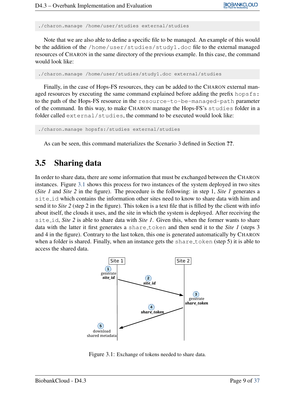./charon.manage /home/user/studies external/studies

Note that we are also able to define a specific file to be managed. An example of this would be the addition of the /home/user/studies/study1.doc file to the external managed resources of CHARON in the same directory of the previous example. In this case, the command would look like:

./charon.manage /home/user/studies/study1.doc external/studies

Finally, in the case of Hops-FS resources, they can be added to the CHARON external managed resources by executing the same command explained before adding the prefix hopsfs: to the path of the Hops-FS resource in the resource-to-be-managed-path parameter of the command. In this way, to make CHARON manage the Hops-FS's studies folder in a folder called external/studies, the command to be executed would look like:

```
./charon.manage hopsfs:/studies external/studies
```
As can be seen, this command materializes the Scenario 3 defined in Section ??.

#### <span id="page-11-0"></span>3.5 Sharing data

In order to share data, there are some information that must be exchanged between the CHARON instances. Figure [3.1](#page-11-1) shows this process for two instances of the system deployed in two sites (*Site 1* and *Site 2* in the figure). The procedure is the following: in step 1, *Site 1* generates a site id which contains the information other sites need to know to share data with him and send it to *Site 2* (step 2 in the figure). This token is a text file that is filled by the client with info about itself, the clouds it uses, and the site in which the system is deployed. After receiving the site id, *Site 2* is able to share data with *Site 1*. Given this, when the former wants to share data with the latter it first generates a share token and then send it to the *Site 1* (steps 3 and 4 in the figure). Contrary to the last token, this one is generated automatically by CHARON when a folder is shared. Finally, when an instance gets the share-token (step 5) it is able to access the shared data.



<span id="page-11-1"></span>Figure 3.1: Exchange of tokens needed to share data.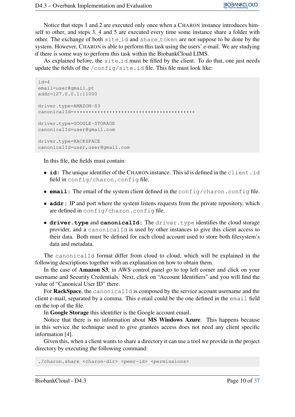Notice that steps 1 and 2 are executed only once when a CHARON instance introduces himself to other, and steps 3, 4 and 5 are executed every time some instance share a folder with other. The exchange of both site id and share token are not suppose to be done by the system. However, CHARON is able to perform this task using the users' e-mail. We are studying if there is some way to perform this task within the BiobankCloud LIMS.

As explained before, the site id must be filled by the client. To do that, one just needs update the fields of the /config/site.id file. This file must look like:

```
id=4email=user@gmail.pt
addr=127.0.0.1:11000
driver.type=AMAZON-S3
canonicalId=*****************************************
driver.type=GOOGLE-STORAGE
canonicalId=user@gmail.com
driver.type=RACKSPACE
canonicalId=user,user@gmail.com
```
In this file, the fields must contain:

- **id:** The unique identifier of the CHARON instance. This id is defined in the client.id field in config/charon.config file.
- **email:** The email of the system client defined in the config/charon.config file.
- **addr:** IP and port where the system listens requests from the private repository, which are defined in config/charon.config file.
- **driver.type** and **canonicalId:** The driver.type identifies the cloud storage provider, and a canonicalId is used by other instances to give this client access to their data. Both must be defined for each cloud account used to store both filesystem's data and metadata.

The canonicalId format differ from cloud to cloud, which will be explained in the following descriptions together with an explanation on how to obtain them.

In the case of Amazon S3, in AWS control panel go to top left corner and click on your username and Security Credentials. Next, click on "Account Identifiers" and you will find the value of "Canonical User ID" there.

For RackSpace, the canonicalId is composed by the service account username and the client e-mail, separated by a comma. This e-mail could be the one defined in the email field on the top of the file.

In Google Storage this identifier is the Google account email.

Notice that there is no information about MS Windows Azure. This happens because in this service the technique used to give grantees access does not need any client specific information [4].

Given this, when a client wants to share a directory it can use a tool we provide in the project directory by executing the following command:

./charon.share <charon-dir> <peer-id> <permissions>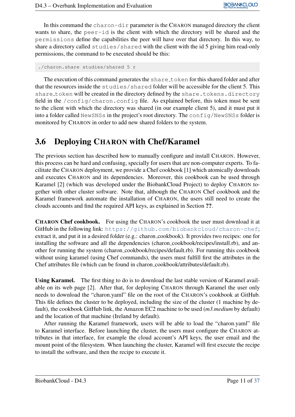In this command the charon-dir parameter is the CHARON managed directory the client wants to share, the peer-id is the client with which the directory will be shared and the permissions define the capabilities the peer will have over that directory. In this way, to share a directory called studies/shared with the client with the id 5 giving him read-only permissions, the command to be executed should be this:

```
./charon.share studies/shared 5 r
```
The execution of this command generates the share token for this shared folder and after that the resources inside the studies/shared folder will be accessible for the client 5. This share\_token will be created in the directory defined by the share.tokens.directory field in the  $/$ config/charon.config file. As explained before, this token must be sent to the client with which the directory was shared (in our example client 5), and it must put it into a folder called NewSNSs in the project's root directory. The config/NewSNSs folder is monitored by CHARON in order to add new shared folders to the system.

### <span id="page-13-0"></span>3.6 Deploying CHARON with Chef/Karamel

The previous section has described how to manually configure and install CHARON. However, this process can be hard and confusing, specially for users that are non-computer experts. To facilitate the CHARON deployment, we provide a Chef cookbook [1] which atomically downloads and executes CHARON and its dependencies. Moreover, this cookbook can be used through Karamel [2] (which was developed under the BiobankCloud Project) to deploy CHARON together with other cluster software. Note that, although the CHARON Chef cookbook and the Karamel framework automate the installation of CHARON, the users still need to create the clouds accounts and find the required API keys, as explained in Section ??.

CHARON Chef cookbook. For using the CHARON's cookbook the user must download it at GitHub in the following link: <https://github.com/biobankcloud/charon-chef>; extract it, and put it in a desired folder (e.g.: charon cookbook). It provides two recipes: one for installing the software and all the dependencies (charon cookbook/recipes/install.rb), and another for running the system (charon cookbook/recipes/default.rb). For running this cookbook without using karamel (using Chef commands), the users must fulfill first the attributes in the Chef attributes file (which can be found in charon cookbook/attributes/default.rb).

Using Karamel. The first thing to do is to download the last stable version of Karamel available on its web page [2]. After that, for deploying CHARON through Karamel the user only needs to download the "charon.yaml" file on the root of the CHARON's cookbook at GitHub. This file defines the cluster to be deployed, including the size of the cluster (1 machine by default), the cookbook GitHub link, the Amazon EC2 machine to be used (*m3.medium* by default) and the location of that machine (Ireland by default).

After running the Karamel framework, users will be able to load the "charon.yaml" file to Karamel interface. Before launching the cluster, the users must configure the CHARON attributes in that interface, for example the cloud account's API keys, the user email and the mount point of the filesystem. When launching the cluster, Karamel will first execute the recipe to install the software, and then the recipe to execute it.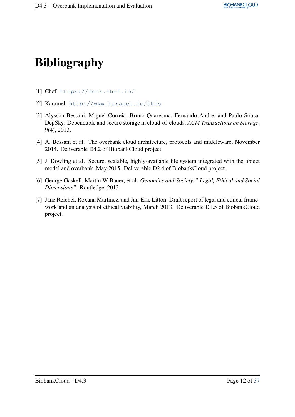# Bibliography

- [1] Chef. <https://docs.chef.io/>.
- [2] Karamel. <http://www.karamel.io/this>.
- [3] Alysson Bessani, Miguel Correia, Bruno Quaresma, Fernando Andre, and Paulo Sousa. DepSky: Dependable and secure storage in cloud-of-clouds. *ACM Transactions on Storage*, 9(4), 2013.
- [4] A. Bessani et al. The overbank cloud architecture, protocols and middleware, November 2014. Deliverable D4.2 of BiobankCloud project.
- [5] J. Dowling et al. Secure, scalable, highly-available file system integrated with the object model and overbank, May 2015. Deliverable D2.4 of BiobankCloud project.
- [6] George Gaskell, Martin W Bauer, et al. *Genomics and Society:" Legal, Ethical and Social Dimensions"*. Routledge, 2013.
- [7] Jane Reichel, Roxana Martinez, and Jan-Eric Litton. Draft report of legal and ethical framework and an analysis of ethical viability, March 2013. Deliverable D1.5 of BiobankCloud project.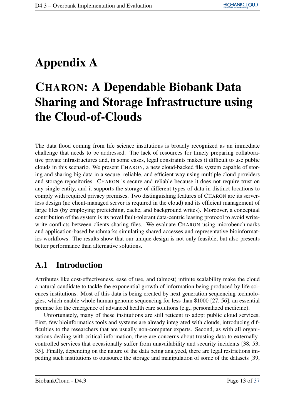## <span id="page-15-0"></span>Appendix A

## CHARON: A Dependable Biobank Data Sharing and Storage Infrastructure using the Cloud-of-Clouds

The data flood coming from life science institutions is broadly recognized as an immediate challenge that needs to be addressed. The lack of resources for timely preparing collaborative private infrastructures and, in some cases, legal constraints makes it difficult to use public clouds in this scenario. We present CHARON, a new cloud-backed file system capable of storing and sharing big data in a secure, reliable, and efficient way using multiple cloud providers and storage repositories. CHARON is secure and reliable because it does not require trust on any single entity, and it supports the storage of different types of data in distinct locations to comply with required privacy premises. Two distinguishing features of CHARON are its serverless design (no client-managed server is required in the cloud) and its efficient management of large files (by employing prefetching, cache, and background writes). Moreover, a conceptual contribution of the system is its novel fault-tolerant data-centric leasing protocol to avoid writewrite conflicts between clients sharing files. We evaluate CHARON using microbenchmarks and application-based benchmarks simulating shared accesses and representative bioinformatics workflows. The results show that our unique design is not only feasible, but also presents better performance than alternative solutions.

### <span id="page-15-1"></span>A.1 Introduction

Attributes like cost-effectiveness, ease of use, and (almost) infinite scalability make the cloud a natural candidate to tackle the exponential growth of information being produced by life sciences institutions. Most of this data is being created by next generation sequencing technologies, which enable whole human genome sequencing for less than \$1000 [27, 56], an essential premise for the emergence of advanced health care solutions (e.g., personalized medicine).

Unfortunately, many of these institutions are still reticent to adopt public cloud services. First, few bioinformatics tools and systems are already integrated with clouds, introducing difficulties to the researchers that are usually non-computer experts. Second, as with all organizations dealing with critical information, there are concerns about trusting data to externallycontrolled services that occasionally suffer from unavailability and security incidents [38, 53, 35]. Finally, depending on the nature of the data being analyzed, there are legal restrictions impeding such institutions to outsource the storage and manipulation of some of the datasets [39,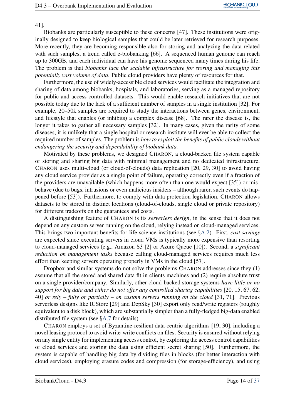41].

Biobanks are particularly susceptible to these concerns [47]. These institutions were originally designed to keep biological samples that could be later retrieved for research purposes. More recently, they are becoming responsible also for storing and analyzing the data related with such samples, a trend called e-biobanking [66]. A sequenced human genome can reach up to 300GB, and each individual can have his genome sequenced many times during his life. The problem is that *biobanks lack the scalable infrastructure for storing and managing this potentially vast volume of data*. Public cloud providers have plenty of resources for that.

Furthermore, the use of widely-accessible cloud services would facilitate the integration and sharing of data among biobanks, hospitals, and laboratories, serving as a managed repository for public and access-controlled datasets. This would enable research initiatives that are not possible today due to the lack of a sufficient number of samples in a single institution [32]. For example, 20–50k samples are required to study the interactions between genes, environment, and lifestyle that enables (or inhibits) a complex disease [68]. The rarer the disease is, the longer it takes to gather all necessary samples [32]. In many cases, given the rarity of some diseases, it is unlikely that a single hospital or research institute will ever be able to collect the required number of samples. The problem is *how to exploit the benefits of public clouds without endangering the security and dependability of biobank data.*

Motivated by these problems, we designed CHARON, a cloud-backed file system capable of storing and sharing big data with minimal management and no dedicated infrastructure. CHARON uses multi-cloud (or cloud-of-clouds) data replication [20, 29, 30] to avoid having any cloud service provider as a single point of failure, operating correctly even if a fraction of the providers are unavailable (which happens more often than one would expect [35]) or misbehave (due to bugs, intrusions or even malicious insiders – although rarer, such events do happened before [53]). Furthermore, to comply with data protection legislation, CHARON allows datasets to be stored in distinct locations (cloud-of-clouds, single cloud or private repository) for different tradeoffs on the guarantees and costs.

A distinguishing feature of CHARON is its *serverless design*, in the sense that it does not depend on any custom server running on the cloud, relying instead on cloud-managed services. This brings two important benefits for life science institutions (see §[A.2\)](#page-17-0). First, *cost savings* are expected since executing servers in cloud VMs is typically more expensive than resorting to cloud-managed services (e.g., Amazon S3 [2] or Azure Queue [10]). Second, a *significant reduction on management tasks* because calling cloud-managed services requires much less effort than keeping servers operating properly in VMs in the cloud [57].

Dropbox and similar systems do not solve the problems CHARON addresses since they (1) assume that all the stored and shared data fit in clients machines and (2) require absolute trust on a single provider/company. Similarly, other cloud-backed storage systems *have little or no support for big data and either do not offer any controlled sharing capabilities* [20, 15, 67, 62, 40] *or rely – fully or partially – on custom servers running on the cloud* [31, 71]. Previous serverless designs like ICStore [29] and DepSky [30] export only read/write registers (roughly equivalent to a disk block), which are substantially simpler than a fully-fledged big-data enabled distributed file system (see §[A.7](#page-32-0) for details).

CHARON employs a set of Byzantine-resilient data-centric algorithms [19, 30], including a novel leasing protocol to avoid write-write conflicts on files. Security is ensured without relying on any single entity for implementing access control, by exploring the access control capabilities of cloud services and storing the data using efficient secret sharing [50]. Furthermore, the system is capable of handling big data by dividing files in blocks (for better interaction with cloud services), employing erasure codes and compression (for storage-efficiency), and using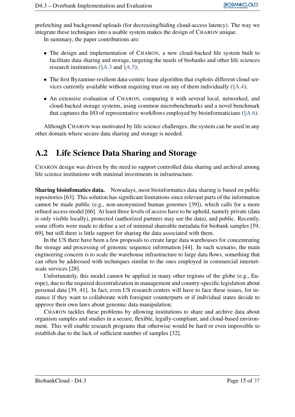prefetching and background uploads (for decreasing/hiding cloud-access latency). The way we integrate these techniques into a usable system makes the design of CHARON unique. In summary, the paper contributions are:

- The design and implementation of CHARON, a new cloud-backed file system built to facilitate data sharing and storage, targeting the needs of biobanks and other life sciences research institutions (§[A.3](#page-18-0) and §[A.5\)](#page-23-0);
- The first Byzantine-resilient data-centric lease algorithm that exploits different cloud services currently available without requiring trust on any of them individually (§[A.4\)](#page-20-0);
- An extensive evaluation of CHARON, comparing it with several local, networked, and cloud-backed storage systems, using common microbenchmarks and a novel benchmark that captures the I/O of representative workflows employed by bioinformaticians (§[A.6\)](#page-27-0).

Although CHARON was motivated by life science challenges, the system can be used in any other domain where secure data sharing and storage is needed.

### <span id="page-17-0"></span>A.2 Life Science Data Sharing and Storage

CHARON design was driven by the need to support controlled data sharing and archival among life science institutions with minimal investments in infrastructure.

Sharing bioinfomatics data. Nowadays, most bioinformatics data sharing is based on public repositories [63]. This solution has significant limitations since relevant parts of the information cannot be made public (e.g., non-anonymized human genomes [39]), which calls for a more refined access model [66]. At least three levels of access have to be uphold, namely private (data is only visible locally), protected (authorized partners may see the data), and public. Recently, some efforts were made to define a set of minimal shareable metadata for biobank samples [59, 69], but still there is little support for sharing the data associated with them.

In the US there have been a few proposals to create large data warehouses for concentrating the storage and processing of genomic sequence information [44]. In such scenario, the main engineering concern is to scale the warehouse infrastructure to large data flows, something that can often be addressed with techniques similar to the ones employed in commercial internetscale services [28].

Unfortunately, this model cannot be applied in many other regions of the globe (e.g., Europe), due to the required decentralization in management and country-specific legislation about personal data [39, 41]. In fact, even US research centers will have to face these issues, for instance if they want to collaborate with foreigner counterparts or if individual states decide to approve their own laws about genomic data manipulation.

CHARON tackles these problems by allowing institutions to share and archive data about organism samples and studies in a secure, flexible, legally-compliant, and cloud-based environment. This will enable research programs that otherwise would be hard or even impossible to establish due to the lack of sufficient number of samples [32].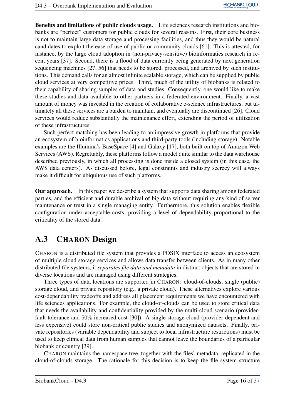Benefits and limitations of public clouds usage. Life sciences research institutions and biobanks are "perfect" customers for public clouds for several reasons. First, their core business is not to maintain large data storage and processing facilities, and thus they would be natural candidates to exploit the ease-of-use of public or community clouds [61]. This is attested, for instance, by the large cloud adoption in (non-privacy-sensitive) bioinformatics research in recent years [37]. Second, there is a flood of data currently being generated by next generation sequencing machines [27, 56] that needs to be stored, processed, and archived by such institutions. This demand calls for an almost infinite scalable storage, which can be supplied by public cloud services at very competitive prices. Third, much of the utility of biobanks is related to their capability of sharing samples of data and studies. Consequently, one would like to make these studies and data available to other partners in a federated environment. Finally, a vast amount of money was invested in the creation of collaborative e-science infrastructures, but ultimately all these services are a burden to maintain, and eventually are discontinued [26]. Cloud services would reduce substantially the maintenance effort, extending the period of utilization of these infrastructures.

Such perfect matching has been leading to an impressive growth in platforms that provide an ecosystem of bioinformatics applications and third-party tools (including storage). Notable examples are the Illumina's BaseSpace [4] and Galaxy [17], both built on top of Amazon Web Services (AWS). Regrettably, these platforms follow a model quite similar to the data warehouse described previously, in which all processing is done inside a closed system (in this case, the AWS data centers). As discussed before, legal constraints and industry secrecy will always make it difficult for ubiquitous use of such platforms.

Our approach. In this paper we describe a system that supports data sharing among federated parties, and the efficient and durable archival of big data without requiring any kind of server maintenance or trust in a single managing entity. Furthermore, this solution enables flexible configuration under acceptable costs, providing a level of dependability proportional to the criticality of the stored data.

### <span id="page-18-0"></span>A.3 CHARON Design

CHARON is a distributed file system that provides a POSIX interface to access an ecosystem of multiple cloud storage services and allows data transfer between clients. As in many other distributed file systems, it *separates file data and metadata* in distinct objects that are stored in diverse locations and are managed using different strategies.

Three types of data locations are supported in CHARON: cloud-of-clouds, single (public) storage cloud, and private repository (e.g., a private cloud). These alternatives explore various cost-dependability tradeoffs and address all placement requirements we have encountered with life sciences applications. For example, the cloud-of-clouds can be used to store critical data that needs the availability and confidentiality provided by the multi-cloud scenario (providerfault tolerance and 50% increased cost [30]). A single storage cloud (provider-dependent and less expensive) could store non-critical public studies and anonymized datasets. Finally, private repositories (variable dependability and subject to local infrastructure restrictions) must be used to keep clinical data from human samples that cannot leave the boundaries of a particular biobank or country [39].

CHARON maintains the namespace tree, together with the files' metadata, replicated in the cloud-of-clouds storage. The rationale for this decision is to keep the file system structure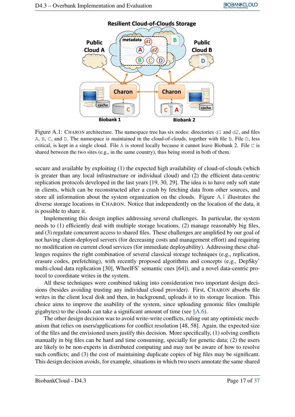<span id="page-19-0"></span>

Figure A.1: CHARON architecture. The namespace tree has six nodes: directories  $d_1$  and  $d_2$ , and files A, B, C, and D. The namespace is maintained in the cloud-of-clouds, together with file B. File D, less critical, is kept in a single cloud. File A is stored locally because it cannot leave Biobank 2. File  $\subset$  is shared between the two sites (e.g., in the same country), thus being stored in both of them.

secure and available by exploiting (1) the expected high availability of cloud-of-clouds (which is greater than any local infrastructure or individual cloud) and (2) the efficient data-centric replication protocols developed in the last years [19, 30, 29]. The idea is to have only soft state in clients, which can be reconstructed after a crash by fetching data from other sources, and store all information about the system organization on the clouds. Figure [A.1](#page-19-0) illustrates the diverse storage locations in CHARON. Notice that independently on the location of the data, it is possible to share it.

Implementing this design implies addressing several challenges. In particular, the system needs to (1) efficiently deal with multiple storage locations, (2) manage reasonably big files, and (3) regulate concurrent access to shared files. These challenges are amplified by our goal of not having client-deployed servers (for decreasing costs and management effort) and requiring no modification on current cloud services (for immediate deployability). Addressing these challenges requires the right combination of several classical storage techniques (e.g., replication, erasure codes, prefetching), with recently proposed algorithms and concepts (e.g., DepSky' multi-cloud data replication [30], WheelFS' semantic cues [64]), and a novel data-centric protocol to coordinate writes in the system.

All these techniques were combined taking into consideration two important design decisions (besides avoiding trusting any individual cloud provider). First, CHARON absorbs file writes in the client local disk and then, in background, uploads it to its storage location. This choice aims to improve the usability of the system, since uploading genomic files (multiple gigabytes) to the clouds can take a significant amount of time (see  $\&A.6$ ).

The other design decision was to avoid write-write conflicts, ruling out any optimistic mechanism that relies on users/applications for conflict resolution [48, 58]. Again, the expected size of the files and the envisioned users justify this decision. More specifically, (1) solving conflicts manually in big files can be hard and time consuming, specially for genetic data; (2) the users are likely to be non-experts in distributed computing and may not be aware of how to resolve such conflicts; and (3) the cost of maintaining duplicate copies of big files may be significant. This design decision avoids, for example, situations in which two users annotate the same shared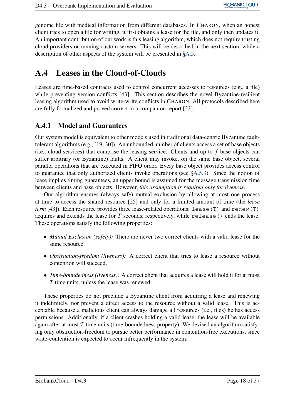genome file with medical information from different databases. In CHARON, when an honest client tries to open a file for writing, it first obtains a lease for the file, and only then updates it. An important contribution of our work is this leasing algorithm, which does not require trusting cloud providers or running custom servers. This will be described in the next section, while a description of other aspects of the system will be presented in §[A.5.](#page-23-0)

### <span id="page-20-0"></span>A.4 Leases in the Cloud-of-Clouds

Leases are time-based contracts used to control concurrent accesses to resources (e.g., a file) while preventing version conflicts [43]. This section describes the novel Byzantine-resilient leasing algorithm used to avoid write-write conflicts in CHARON. All protocols described here are fully formalized and proved correct in a companion report [23].

#### <span id="page-20-1"></span>A.4.1 Model and Guarantees

Our system model is equivalent to other models used in traditional data-centric Byzantine faulttolerant algorithms (e.g., [19, 30]). An unbounded number of clients access a set of base objects (i.e., cloud services) that comprise the leasing service. Clients and up to  $f$  base objects can suffer arbitrary (or Byzantine) faults. A client may invoke, on the same base object, several parallel operations that are executed in FIFO order. Every base object provides access control to guarantee that only authorized clients invoke operations (see §[A.5.3\)](#page-26-0). Since the notion of lease implies timing guarantees, an upper bound is assumed for the message transmission time between clients and base objects. However, *this assumption is required only for liveness*.

Our algorithm ensures (always safe) mutual exclusion by allowing at most one process at time to access the shared resource [25] and only for a limited amount of time (the *lease term* [43]). Each resource provides three lease-related operations: lease (T) and renew (T) acquires and extends the lease for  $T$  seconds, respectively, while release() ends the lease. These operations satisfy the following properties:

- *Mutual Exclusion (safety):* There are never two correct clients with a valid lease for the same resource.
- *Obstruction-freedom (liveness):* A correct client that tries to lease a resource without contention will succeed.
- *Time-boundedness (liveness):* A correct client that acquires a lease will hold it for at most *T* time units, unless the lease was renewed.

These properties do not preclude a Byzantine client from acquiring a lease and renewing it indefinitely, nor prevent a direct access to the resource without a valid lease. This is acceptable because a malicious client can always damage all resources (i.e., files) he has access permissions. Additionally, if a client crashes holding a valid lease, the lease will be available again after at most  $T$  time units (time-boundedness property). We devised an algorithm satisfying only obstruction-freedom to pursue better performance in contention-free executions, since write-contention is expected to occur infrequently in the system.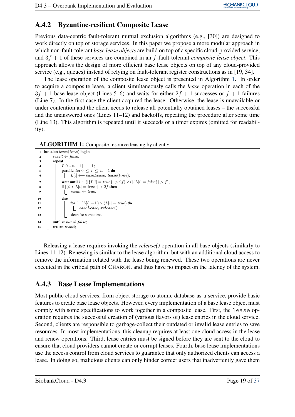### <span id="page-21-0"></span>A.4.2 Byzantine-resilient Composite Lease

Previous data-centric fault-tolerant mutual exclusion algorithms (e.g., [30]) are designed to work directly on top of storage services. In this paper we propose a more modular approach in which non-fault-tolerant *base lease objects* are build on top of a specific cloud-provided service, and 3f + 1 of these services are combined in an f-fault-tolerant *composite lease object*. This approach allows the design of more efficient base lease objects on top of any cloud-provided service (e.g., queues) instead of relying on fault-tolerant register constructions as in [19, 34].

The lease operation of the composite lease object is presented in Algorithm [1.](#page-21-2) In order to acquire a composite lease, a client simultaneously calls the *lease* operation in each of the  $3f + 1$  base lease object (Lines 5–6) and waits for either  $2f + 1$  successes or  $f + 1$  failures (Line 7). In the first case the client acquired the lease. Otherwise, the lease is unavailable or under contention and the client needs to release all potentially obtained leases – the successful and the unanswered ones (Lines  $11-12$ ) and backoffs, repeating the procedure after some time (Line 13). This algorithm is repeated until it succeeds or a timer expires (omitted for readability).

#### **ALGORITHM 1:** Composite resource leasing by client  $c$ .

```
1 function lease(time) begin
2 | result \leftarrow false;3 repeat
\mathbf{4} \mathbf{1} \mathbf{1} L[0..n-1] \leftarrow \perp;
5 | parallel for 0 \le i \le n-1 do
6 | | L[i] \longleftarrow \overline{base} \overline{L} ease_i. lease (time);7 wait until i : (|\{L[i] = true\}| > 2f) \vee (|\{L[i] = false\}| > f);8 if |\{i : L[i] = true\}| > 2f then
9 |\hspace{.1cm}| \hspace{.1cm}| result \leftarrow true;10 else
11 for i : (L[i] = \bot) \vee (L[i] = true) do
12 | | baseLease<sub>i</sub>.release();
13 | | | sleep for some time;
14 until result \neq false:
15 return result:
```
Releasing a lease requires invoking the *release()* operation in all base objects (similarly to Lines 11-12). Renewing is similar to the lease algorithm, but with an additional cloud access to remove the information related with the lease being renewed. These two operations are never executed in the critical path of CHARON, and thus have no impact on the latency of the system.

#### <span id="page-21-1"></span>A.4.3 Base Lease Implementations

Most public cloud services, from object storage to atomic database-as-a-service, provide basic features to create base lease objects. However, every implementation of a base lease object must comply with some specifications to work together in a composite lease. First, the lease operation requires the successful creation of (various flavors of) lease entries in the cloud service. Second, clients are responsible to garbage-collect their outdated or invalid lease entries to save resources. In most implementations, this cleanup requires at least one cloud access in the lease and renew operations. Third, lease entries must be signed before they are sent to the cloud to ensure that cloud providers cannot create or corrupt leases. Fourth, base lease implementations use the access control from cloud services to guarantee that only authorized clients can access a lease. In doing so, malicious clients can only hinder correct users that inadvertently gave them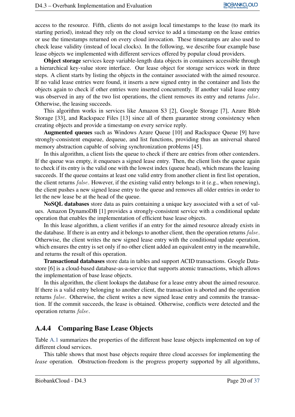access to the resource. Fifth, clients do not assign local timestamps to the lease (to mark its starting period), instead they rely on the cloud service to add a timestamp on the lease entries or use the timestamps returned on every cloud invocation. These timestamps are also used to check lease validity (instead of local clocks). In the following, we describe four example base lease objects we implemented with different services offered by popular cloud providers.

Object storage services keep variable-length data objects in containers accessible through a hierarchical key-value store interface. Our lease object for storage services work in three steps. A client starts by listing the objects in the container associated with the aimed resource. If no valid lease entries were found, it inserts a new signed entry in the container and lists the objects again to check if other entries were inserted concurrently. If another valid lease entry was observed in any of the two list operations, the client removes its entry and returns *false*. Otherwise, the leasing succeeds.

This algorithm works in services like Amazon S3 [2], Google Storage [7], Azure Blob Storage [33], and Rackspace Files [13] since all of them guarantee strong consistency when creating objects and provide a timestamp on every service reply.

Augmented queues such as Windows Azure Queue [10] and Rackspace Queue [9] have strongly-consistent enqueue, dequeue, and list functions, providing thus an universal shared memory abstraction capable of solving synchronization problems [45].

In this algorithm, a client lists the queue to check if there are entries from other contenders. If the queue was empty, it enqueues a signed lease entry. Then, the client lists the queue again to check if its entry is the valid one with the lowest index (queue head), which means the leasing succeeds. If the queue contains at least one valid entry from another client in first list operation, the client returns false. However, if the existing valid entry belongs to it (e.g., when renewing), the client pushes a new signed lease entry to the queue and removes all older entries in order to let the new lease be at the head of the queue.

NoSQL databases store data as pairs containing a unique key associated with a set of values. Amazon DynamoDB [1] provides a strongly-consistent service with a conditional update operation that enables the implementation of efficient base lease objects.

In this lease algorithm, a client verifies if an entry for the aimed resource already exists in the database. If there is an entry and it belongs to another client, then the operation returns false. Otherwise, the client writes the new signed lease entry with the conditional update operation, which ensures the entry is set only if no other client added an equivalent entry in the meanwhile, and returns the result of this operation.

Transactional databases store data in tables and support ACID transactions. Google Datastore [6] is a cloud-based database-as-a-service that supports atomic transactions, which allows the implementation of base lease objects.

In this algorithm, the client lookups the database for a lease entry about the aimed resource. If there is a valid entry belonging to another client, the transaction is aborted and the operation returns false. Otherwise, the client writes a new signed lease entry and commits the transaction. If the commit succeeds, the lease is obtained. Otherwise, conflicts were detected and the operation returns false.

#### <span id="page-22-0"></span>A.4.4 Comparing Base Lease Objects

Table [A.1](#page-23-2) summarizes the properties of the different base lease objects implemented on top of different cloud services.

This table shows that most base objects require three cloud accesses for implementing the *lease* operation. Obstruction-freedom is the progress property supported by all algorithms,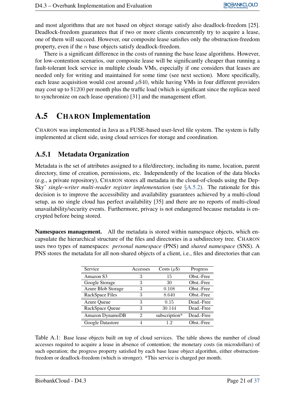and most algorithms that are not based on object storage satisfy also deadlock-freedom [25]. Deadlock-freedom guarantees that if two or more clients concurrently try to acquire a lease, one of them will succeed. However, our composite lease satisfies only the obstruction-freedom property, even if the n base objects satisfy deadlock-freedom.

There is a significant difference in the costs of running the base lease algorithms. However, for low-contention scenarios, our composite lease will be significantly cheaper than running a fault-tolerant lock service in multiple clouds VMs, especially if one considers that leases are needed only for writing and maintained for some time (see next section). More specifically, each lease acquisition would cost around  $\mu$ \$40, while having VMs in four different providers may cost up to \$1200 per month plus the traffic load (which is significant since the replicas need to synchronize on each lease operation) [31] and the management effort.

### <span id="page-23-0"></span>A.5 CHARON Implementation

CHARON was implemented in Java as a FUSE-based user-level file system. The system is fully implemented at client side, using cloud services for storage and coordination.

#### <span id="page-23-1"></span>A.5.1 Metadata Organization

Metadata is the set of attributes assigned to a file/directory, including its name, location, parent directory, time of creation, permissions, etc. Independently of the location of the data blocks (e.g., a private repository), CHARON stores all metadata in the cloud-of-clouds using the Dep-Sky' *single-writer multi-reader register implementation* (see §[A.5.2\)](#page-25-0). The rationale for this decision is to improve the accessibility and availability guarantees achieved by a multi-cloud setup, as no single cloud has perfect availability [35] and there are no reports of multi-cloud unavailability/security events. Furthermore, privacy is not endangered because metadata is encrypted before being stored.

Namespaces management. All the metadata is stored within namespace objects, which encapsulate the hierarchical structure of the files and directories in a subdirectory tree. CHARON uses two types of namespaces: *personal namespace* (PNS) and *shared namespace* (SNS). A PNS stores the metadata for all non-shared objects of a client, i.e., files and directories that can

| Service            | Accesses | Costs $(\mu$ \$) | Progress   |
|--------------------|----------|------------------|------------|
| Amazon S3          | 3        | 15               | Obst.-Free |
| Google Storage     | 3        | 30               | Obst.-Free |
| Azure Blob Storage | 3        | 0.108            | Obst.-Free |
| RackSpace Files    | 3        | 8.640            | Obst.-Free |
| <b>Azure Queue</b> | 3        | 0.15             | Dead.-Free |
| RackSpace Queue    | 3        | 30.144           | Dead.-Free |
| Amazon DynamoDB    | 2        | subscription*    | Dead.-Free |
| Google Datastore   |          | 12               | Obst.-Free |

<span id="page-23-2"></span>Table A.1: Base lease objects built on top of cloud services. The table shows the number of cloud accesses required to acquire a lease in absence of contention; the monetary costs (in microdollars) of such operation; the progress property satisfied by each base lease object algorithm, either obstructionfreedom or deadlock-freedom (which is stronger). \*This service is charged per month.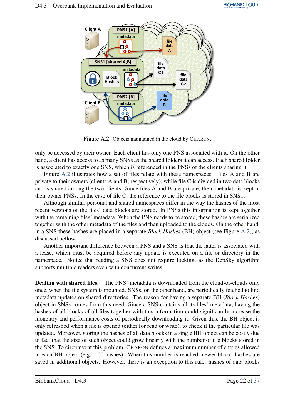

Figure A.2: Objects maintained in the cloud by CHARON.

<span id="page-24-0"></span>only be accessed by their owner. Each client has only one PNS associated with it. On the other hand, a client has access to as many SNSs as the shared folders it can access. Each shared folder is associated to exactly one SNS, which is referenced in the PNSs of the clients sharing it.

Figure [A.2](#page-24-0) illustrates how a set of files relate with these namespaces. Files A and B are private to their owners (clients A and B, respectively), while file C is divided in two data blocks and is shared among the two clients. Since files A and B are private, their metadata is kept in their owner PNSs. In the case of file C, the reference to the file blocks is stored in SNS1.

Although similar, personal and shared namespaces differ in the way the hashes of the most recent versions of the files' data blocks are stored. In PNSs this information is kept together with the remaining files' metadata. When the PNS needs to be stored, these hashes are serialized together with the other metadata of the files and then uploaded to the clouds. On the other hand, in a SNS these hashes are placed in a separate *Block Hashes* (BH) object (see Figure [A.2\)](#page-24-0), as discussed bellow.

Another important difference between a PNS and a SNS is that the latter is associated with a lease, which must be acquired before any update is executed on a file or directory in the namespace. Notice that reading a SNS does not require locking, as the DepSky algorithm supports multiple readers even with concurrent writes.

**Dealing with shared files.** The PNS' metadata is downloaded from the cloud-of-clouds only once, when the file system is mounted. SNSs, on the other hand, are periodically fetched to find metadata updates on shared directories. The reason for having a separate BH (*Block Hashes*) object in SNSs comes from this need. Since a SNS contains all its files' metadata, having the hashes of all blocks of all files together with this information could significantly increase the monetary and performance costs of periodically downloading it. Given this, the BH object is only refreshed when a file is opened (either for read or write), to check if the particular file was updated. Moreover, storing the hashes of all data blocks in a single BH object can be costly due to fact that the size of such object could grow linearly with the number of file blocks stored in the SNS. To circumvent this problem, CHARON defines a maximum number of entries allowed in each BH object (e.g., 100 hashes). When this number is reached, newer block' hashes are saved in additional objects. However, there is an exception to this rule: hashes of data blocks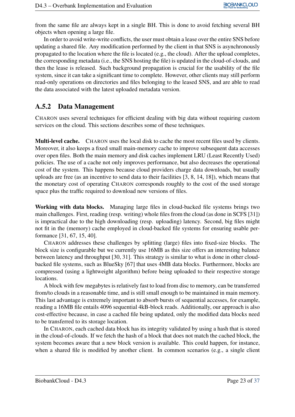from the same file are always kept in a single BH. This is done to avoid fetching several BH objects when opening a large file.

In order to avoid write-write conflicts, the user must obtain a lease over the entire SNS before updating a shared file. Any modification performed by the client in that SNS is asynchronously propagated to the location where the file is located (e.g., the cloud). After the upload completes, the corresponding metadata (i.e., the SNS hosting the file) is updated in the cloud-of-clouds, and then the lease is released. Such background propagation is crucial for the usability of the file system, since it can take a significant time to complete. However, other clients may still perform read-only operations on directories and files belonging to the leased SNS, and are able to read the data associated with the latest uploaded metadata version.

#### <span id="page-25-0"></span>A.5.2 Data Management

CHARON uses several techniques for efficient dealing with big data without requiring custom services on the cloud. This sections describes some of these techniques.

Multi-level cache. CHARON uses the local disk to cache the most recent files used by clients. Moreover, it also keeps a fixed small main-memory cache to improve subsequent data accesses over open files. Both the main memory and disk caches implement LRU (Least Recently Used) policies. The use of a cache not only improves performance, but also decreases the operational cost of the system. This happens because cloud providers charge data downloads, but usually uploads are free (as an incentive to send data to their facilities [3, 8, 14, 18]), which means that the monetary cost of operating CHARON corresponds roughly to the cost of the used storage space plus the traffic required to download new versions of files.

Working with data blocks. Managing large files in cloud-backed file systems brings two main challenges. First, reading (resp. writing) whole files from the cloud (as done in SCFS [31]) is impractical due to the high downloading (resp. uploading) latency. Second, big files might not fit in the (memory) cache employed in cloud-backed file systems for ensuring usable performance [31, 67, 15, 40].

CHARON addresses these challenges by splitting (large) files into fixed-size blocks. The block size is configurable but we currently use 16MB as this size offers an interesting balance between latency and throughput [30, 31]. This strategy is similar to what is done in other cloudbacked file systems, such as BlueSky [67] that uses 4MB data blocks. Furthermore, blocks are compressed (using a lightweight algorithm) before being uploaded to their respective storage locations.

A block with few megabytes is relatively fast to load from disc to memory, can be transferred from/to clouds in a reasonable time, and is still small enough to be maintained in main memory. This last advantage is extremely important to absorb bursts of sequential accesses, for example, reading a 16MB file entails 4096 sequential 4kB-block reads. Additionally, our approach is also cost-effective because, in case a cached file being updated, only the modified data blocks need to be transferred to its storage location.

In CHARON, each cached data block has its integrity validated by using a hash that is stored in the cloud-of-clouds. If we fetch the hash of a block that does not match the cached block, the system becomes aware that a new block version is available. This could happen, for instance, when a shared file is modified by another client. In common scenarios (e.g., a single client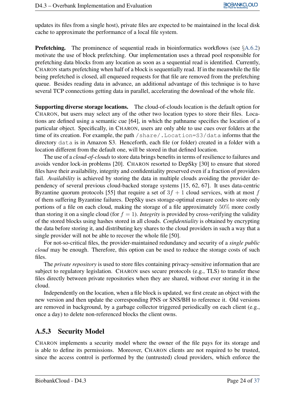updates its files from a single host), private files are expected to be maintained in the local disk cache to approximate the performance of a local file system.

**Prefetching.** The prominence of sequential reads in bioinformatics workflows (see  $\S$ [A.6.2\)](#page-29-0) motivate the use of block prefetching. Our implementation uses a thread pool responsible for prefetching data blocks from any location as soon as a sequential read is identified. Currently, CHARON starts prefetching when half of a block is sequentially read. If in the meanwhile the file being prefetched is closed, all enqueued requests for that file are removed from the prefetching queue. Besides reading data in advance, an additional advantage of this technique is to have several TCP connections getting data in parallel, accelerating the download of the whole file.

Supporting diverse storage locations. The cloud-of-clouds location is the default option for CHARON, but users may select any of the other two location types to store their files. Locations are defined using a semantic cue [64], in which the pathname specifies the location of a particular object. Specifically, in CHARON, users are only able to use cues over folders at the time of its creation. For example, the path /share/. Location=S3/data informs that the directory data is in Amazon S3. Henceforth, each file (or folder) created in a folder with a location different from the default one, will be stored in that defined location.

The use of a *cloud-of-clouds* to store data brings benefits in terms of resilience to failures and avoids vendor lock-in problems [20]. CHARON resorted to DepSky [30] to ensure that stored files have their availability, integrity and confidentiality preserved even if a fraction of providers fail. *Availability* is achieved by storing the data in multiple clouds avoiding the provider dependency of several previous cloud-backed storage systems [15, 62, 67]. It uses data-centric Byzantine quorum protocols [55] that require a set of  $3f + 1$  cloud services, with at most f of them suffering Byzantine failures. DepSky uses storage-optimal erasure codes to store only portions of a file on each cloud, making the storage of a file approximately  $50\%$  more costly than storing it on a single cloud (for  $f = 1$ ). *Integrity* is provided by cross-verifying the validity of the stored blocks using hashes stored in all clouds. *Confidentiality* is obtained by encrypting the data before storing it, and distributing key shares to the cloud providers in such a way that a single provider will not be able to recover the whole file [50].

For not-so-critical files, the provider-maintained redundancy and security of a *single public cloud* may be enough. Therefore, this option can be used to reduce the storage costs of such files.

The *private repository* is used to store files containing privacy-sensitive information that are subject to regulatory legislation. CHARON uses secure protocols (e.g., TLS) to transfer these files directly between private repositories when they are shared, without ever storing it in the cloud.

Independently on the location, when a file block is updated, we first create an object with the new version and then update the corresponding PNS or SNS/BH to reference it. Old versions are removed in background, by a garbage collector triggered periodically on each client (e.g., once a day) to delete non-referenced blocks the client owns.

#### <span id="page-26-0"></span>A.5.3 Security Model

CHARON implements a security model where the owner of the file pays for its storage and is able to define its permissions. Moreover, CHARON clients are not required to be trusted, since the access control is performed by the (untrusted) cloud providers, which enforce the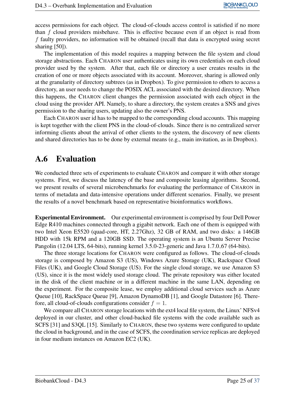access permissions for each object. The cloud-of-clouds access control is satisfied if no more than f cloud providers misbehave. This is effective because even if an object is read from f faulty providers, no information will be obtained (recall that data is encrypted using secret sharing [50]).

The implementation of this model requires a mapping between the file system and cloud storage abstractions. Each CHARON user authenticates using its own credentials on each cloud provider used by the system. After that, each file or directory a user creates results in the creation of one or more objects associated with its account. Moreover, sharing is allowed only at the granularity of directory subtrees (as in Dropbox). To give permission to others to access a directory, an user needs to change the POSIX ACL associated with the desired directory. When this happens, the CHARON client changes the permission associated with each object in the cloud using the provider API. Namely, to share a directory, the system creates a SNS and gives permission to the sharing users, updating also the owner's PNS.

Each CHARON user id has to be mapped to the corresponding cloud accounts. This mapping is kept together with the client PNS in the cloud-of-clouds. Since there is no centralized server informing clients about the arrival of other clients to the system, the discovery of new clients and shared directories has to be done by external means (e.g., main invitation, as in Dropbox).

#### <span id="page-27-0"></span>A.6 Evaluation

We conducted three sets of experiments to evaluate CHARON and compare it with other storage systems. First, we discuss the latency of the base and composite leasing algorithms. Second, we present results of several microbenchmarks for evaluating the performance of CHARON in terms of metadata and data-intensive operations under different scenarios. Finally, we present the results of a novel benchmark based on representative bioinformatics workflows.

Experimental Environment. Our experimental environment is comprised by four Dell Power Edge R410 machines connected through a gigabit network. Each one of them is equipped with two Intel Xeon E5520 (quad-core, HT, 2.27Ghz), 32 GB of RAM, and two disks: a 146GB HDD with 15k RPM and a 120GB SSD. The operating system is an Ubuntu Server Precise Pangolin (12.04 LTS, 64-bits), running kernel 3.5.0-23-generic and Java 1.7.0 67 (64-bits).

The three storage locations for CHARON were configured as follows. The cloud-of-clouds storage is composed by Amazon S3 (US), Windows Azure Storage (UK), Rackspace Cloud Files (UK), and Google Cloud Storage (US). For the single cloud storage, we use Amazon S3 (US), since it is the most widely used storage cloud. The private repository was either located in the disk of the client machine or in a different machine in the same LAN, depending on the experiment. For the composite lease, we employ additional cloud services such as Azure Queue [10], RackSpace Queue [9], Amazon DynamoDB [1], and Google Datastore [6]. Therefore, all cloud-of-clouds configurations consider  $f = 1$ .

We compare all CHARON storage locations with the ext4 local file system, the Linux' NFSv4 deployed in our cluster, and other cloud-backed file systems with the code available such as SCFS [31] and S3QL [15]. Similarly to CHARON, these two systems were configured to update the cloud in background, and in the case of SCFS, the coordination service replicas are deployed in four medium instances on Amazon EC2 (UK).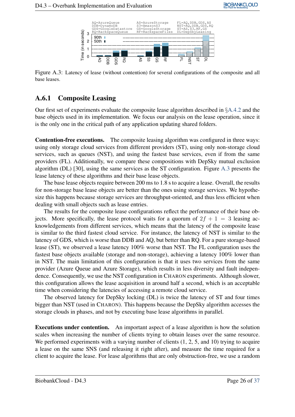<span id="page-28-1"></span>

Figure A.3: Latency of lease (without contention) for several configurations of the composite and all base leases.

#### <span id="page-28-0"></span>A.6.1 Composite Leasing

Our first set of experiments evaluate the composite lease algorithm described in §[A.4.2](#page-21-0) and the base objects used in its implementation. We focus our analysis on the lease operation, since it is the only one in the critical path of any application updating shared folders.

Contention-free executions. The composite leasing algorithm was configured in three ways: using only storage cloud services from different providers (ST), using only non-storage cloud services, such as queues (NST), and using the fastest base services, even if from the same providers (FL). Additionally, we compare these compositions with DepSky mutual exclusion algorithm (DL) [30], using the same services as the ST configuration. Figure [A.3](#page-28-1) presents the lease latency of these algorithms and their base lease objects.

The base lease objects require between 200 ms to 1.8 s to acquire a lease. Overall, the results for non-storage base lease objects are better than the ones using storage services. We hypothesize this happens because storage services are throughput-oriented, and thus less efficient when dealing with small objects such as lease entries.

The results for the composite lease configurations reflect the performance of their base objects. More specifically, the lease protocol waits for a quorum of  $2f + 1 = 3$  leasing acknowledgements from different services, which means that the latency of the composite lease is similar to the third fastest cloud service. For instance, the latency of NST is similar to the latency of GDS, which is worse than DDB and AQ, but better than RQ. For a pure storage-based lease (ST), we observed a lease latency 100% worse than NST. The FL configuration uses the fastest base objects available (storage and non-storage), achieving a latency 100% lower than in NST. The main limitation of this configuration is that it uses two services from the same provider (Azure Queue and Azure Storage), which results in less diversity and fault independence. Consequently, we use the NST configuration in CHARON experiments. Although slower, this configuration allows the lease acquisition in around half a second, which is an acceptable time when considering the latencies of accessing a remote cloud service.

The observed latency for DepSky locking (DL) is twice the latency of ST and four times bigger than NST (used in CHARON). This happens because the DepSky algorithm accesses the storage clouds in phases, and not by executing base lease algorithms in parallel.

Executions under contention. An important aspect of a lease algorithm is how the solution scales when increasing the number of clients trying to obtain leases over the same resource. We performed experiments with a varying number of clients  $(1, 2, 5,$  and 10) trying to acquire a lease on the same SNS (and releasing it right after), and measure the time required for a client to acquire the lease. For lease algorithms that are only obstruction-free, we use a random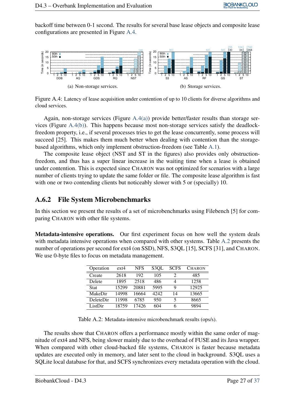backoff time between 0-1 second. The results for several base lease objects and composite lease configurations are presented in Figure [A.4.](#page-29-1)

<span id="page-29-2"></span>

<span id="page-29-3"></span><span id="page-29-1"></span>Figure A.4: Latency of lease acquisition under contention of up to 10 clients for diverse algorithms and cloud services.

Again, non-storage services (Figure [A.4\(a\)\)](#page-29-2) provide better/faster results than storage services (Figure [A.4\(b\)\)](#page-29-3). This happens because most non-storage services satisfy the deadlockfreedom property, i.e., if several processes tries to get the lease concurrently, some process will succeed [25]. This makes them much better when dealing with contention than the storagebased algorithms, which only implement obstruction-freedom (see Table [A.1\)](#page-23-2).

The composite lease object (NST and ST in the figures) also provides only obstructionfreedom, and thus has a super linear increase in the waiting time when a lease is obtained under contention. This is expected since CHARON was not optimized for scenarios with a large number of clients trying to update the same folder or file. The composite lease algorithm is fast with one or two contending clients but noticeably slower with 5 or (specially) 10.

#### <span id="page-29-0"></span>A.6.2 File System Microbenchmarks

In this section we present the results of a set of microbenchmarks using Filebench [5] for comparing CHARON with other file systems.

Metadata-intensive operations. Our first experiment focus on how well the system deals with metadata intensive operations when compared with other systems. Table [A.2](#page-29-4) presents the number of operations per second for ext4 (on SSD), NFS, S3QL [15], SCFS [31], and CHARON. We use 0-byte files to focus on metadata management.

| Operation   | ext4  | <b>NFS</b> | S3OL  | <b>SCFS</b> | <b>CHARON</b> |
|-------------|-------|------------|-------|-------------|---------------|
| Create      | 2618  | 192        | 105   | 2           | 485           |
| Delete      | 1895  | 2518       | 486   | 4           | 1258          |
| <b>Stat</b> | 15299 | 20881      | 5995  | 9           | 12925         |
| MakeDir     | 14998 | 16664      | 42.42 | 14          | 13665         |
| DeleteDir   | 11998 | 6785       | 950   | 5           | 8665          |
| ListDir     | 18759 | 17426      | 604   | 6           | 9894          |

Table A.2: Metadata-intensive microbenchmark results (ops/s).

<span id="page-29-4"></span>The results show that CHARON offers a performance mostly within the same order of magnitude of ext4 and NFS, being slower mainly due to the overhead of FUSE and its Java wrapper. When compared with other cloud-backed file systems, CHARON is faster because metadata updates are executed only in memory, and later sent to the cloud in background. S3QL uses a SQLite local database for that, and SCFS synchronizes every metadata operation with the cloud.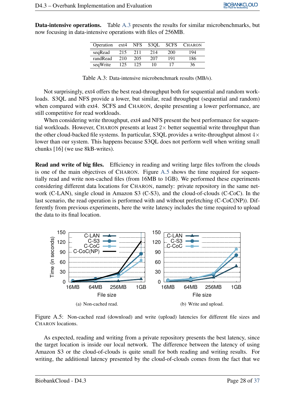Data-intensive operations. Table [A.3](#page-30-0) presents the results for similar microbenchmarks, but now focusing in data-intensive operations with files of 256MB.

| Operation | ext4 | NFS | S3OL | <b>SCFS</b> | <b>CHARON</b> |
|-----------|------|-----|------|-------------|---------------|
| segRead   | 215  | 211 | 214  | 200         | 194           |
| randRead  | 210  | 205 | 207  | 191         | 186           |
| seqWrite  | 125  | 125 | 10   |             | 36            |

Table A.3: Data-intensive microbenchmark results (MB/s).

<span id="page-30-0"></span>Not surprisingly, ext4 offers the best read-throughput both for sequential and random workloads. S3QL and NFS provide a lower, but similar, read throughput (sequential and random) when compared with ext4. SCFS and CHARON, despite presenting a lower performance, are still competitive for read workloads.

When considering write throughput, ext4 and NFS present the best performance for sequential workloads. However, CHARON presents at least  $2\times$  better sequential write throughput than the other cloud-backed file systems. In particular, S3QL provides a write-throughput almost  $4\times$ lower than our system. This happens because S3QL does not perform well when writing small chunks [16] (we use 8kB-writes).

Read and write of big files. Efficiency in reading and writing large files to/from the clouds is one of the main objectives of CHARON. Figure [A.5](#page-30-1) shows the time required for sequentially read and write non-cached files (from 16MB to 1GB). We performed these experiments considering different data locations for CHARON, namely: private repository in the same network (C-LAN), single cloud in Amazon S3 (C-S3), and the cloud-of-clouds (C-CoC). In the last scenario, the read operation is performed with and without prefetching (C-CoC(NP)). Differently from previous experiments, here the write latency includes the time required to upload the data to its final location.



<span id="page-30-1"></span>Figure A.5: Non-cached read (download) and write (upload) latencies for different file sizes and CHARON locations.

As expected, reading and writing from a private repository presents the best latency, since the target location is inside our local network. The difference between the latency of using Amazon S3 or the cloud-of-clouds is quite small for both reading and writing results. For writing, the additional latency presented by the cloud-of-clouds comes from the fact that we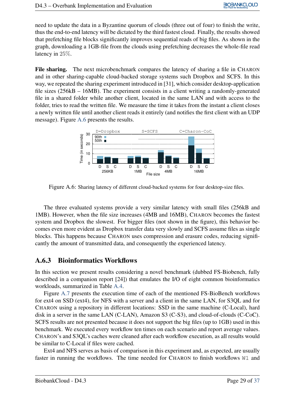need to update the data in a Byzantine quorum of clouds (three out of four) to finish the write, thus the end-to-end latency will be dictated by the third fastest cloud. Finally, the results showed that prefetching file blocks significantly improves sequential reads of big files. As shown in the graph, downloading a 1GB-file from the clouds using prefetching decreases the whole-file read latency in 25%.

File sharing. The next microbenchmark compares the latency of sharing a file in CHARON and in other sharing-capable cloud-backed storage systems such Dropbox and SCFS. In this way, we repeated the sharing experiment introduced in [31], which consider desktop-application file sizes (256kB – 16MB). The experiment consists in a client writing a randomly-generated file in a shared folder while another client, located in the same LAN and with access to the folder, tries to read the written file. We measure the time it takes from the instant a client closes a newly written file until another client reads it entirely (and notifies the first client with an UDP message). Figure [A.6](#page-31-1) presents the results.

<span id="page-31-1"></span>

Figure A.6: Sharing latency of different cloud-backed systems for four desktop-size files.

The three evaluated systems provide a very similar latency with small files (256kB and 1MB). However, when the file size increases (4MB and 16MB), CHARON becomes the fastest system and Dropbox the slowest. For bigger files (not shown in the figure), this behavior becomes even more evident as Dropbox transfer data very slowly and SCFS assume files as single blocks. This happens because CHARON uses compression and erasure codes, reducing significantly the amount of transmitted data, and consequently the experienced latency.

#### <span id="page-31-0"></span>A.6.3 Bioinformatics Workflows

In this section we present results considering a novel benchmark (dubbed FS-Biobench, fully described in a companion report [24]) that emulates the I/O of eight common bioinformatics workloads, summarized in Table [A.4.](#page-32-1)

Figure [A.7](#page-32-2) presents the execution time of each of the mentioned FS-BioBench workflows for ext4 on SSD (ext4), for NFS with a server and a client in the same LAN, for S3QL and for CHARON using a repository in different locations: SSD in the same machine (C-Local), hard disk in a server in the same LAN (C-LAN), Amazon S3 (C-S3), and cloud-of-clouds (C-CoC). SCFS results are not presented because it does not support the big files (up to 1GB) used in this benchmark. We executed every workflow ten times on each scenario and report average values. CHARON's and S3QL's caches were cleaned after each workflow execution, as all results would be similar to C-Local if files were cached.

Ext4 and NFS serves as basis of comparison in this experiment and, as expected, are usually faster in running the workflows. The time needed for CHARON to finish workflows W1 and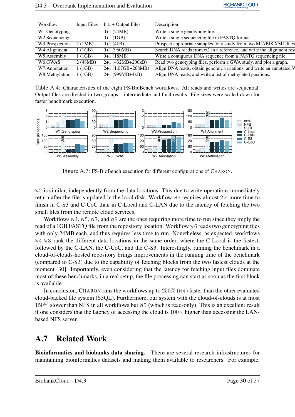| Workflow             | Input Files | Int. + Output Files | Description                                                              |
|----------------------|-------------|---------------------|--------------------------------------------------------------------------|
| W1.Genotyping        |             | $0+1(24MB)$         | Write a single genotyping file.                                          |
| W2. Sequencing       |             | $0+1(1GB)$          | Write a single sequencing file in FASTQ format.                          |
| W3.Prospection       | 2(1MB)      | $0+1$ (4kB)         | Prospect appropriate samples for a study from two MIABIS XML files       |
| W4.Alignment         | 1(1GB)      | $0+1(960MB)$        | Search DNA reads from W2 in a reference, and write the alignment results |
| W5.Assembly          | 1(1GB)      | $0+1(18MB)$         | Write a contiguous DNA sequence from a FASTQ sequencing file.            |
| W <sub>6</sub> .GWAS | 2(48MB)     | 2+1 (432MB+200kB)   | Read two genotyping files, perform a GWA study, and plot a graph.        |
| W7.Annotation        | 1(1GB)      | 2+1 (1.07GB+268MB)  | Align DNA reads, obtain genomic variations, and write an annotated V     |
| W8.Methylation       | 1(1GB)      | $2+1$ (999MB+4kB)   | Align DNA reads, and write a list of methylated positions.               |

<span id="page-32-1"></span>Table A.4: Characteristics of the eight FS-BioBench workflows. All reads and writes are sequential. Output files are divided in two groups – intermediate and final results. File sizes were scaled-down for faster benchmark execution.



<span id="page-32-2"></span>Figure A.7: FS-BioBench execution for different configurations of CHARON.

W<sub>2</sub> is similar, independently from the data locations. This due to write operations immediately return after the file is updated in the local disk. Workflow  $W3$  requires almost  $2\times$  more time to finish in C-S3 and C-CoC than in C-Local and C-LAN due to the latency of fetching the two small files from the remote cloud services.

Workflows  $W4, W5, W7$ , and  $W8$  are the ones requiring more time to run since they imply the read of a 1GB FASTQ file from the repository location. Workflow W6 reads two genotyping files with only 24MB each, and thus requires less time to run. Nonetheless, as expected, workflows W4-W8 rank the different data locations in the same order, where the C-Local is the fastest, followed by the C-LAN, the C-CoC, and the C-S3. Interestingly, running the benchmark in a cloud-of-clouds-hosted repository brings improvements in the running time of the benchmark (compared to C-S3) due to the capability of fetching blocks from the two fastest clouds at the moment [30]. Importantly, even considering that the latency for fetching input files dominate most of these benchmarks, in a real setup, the file processing can start as soon as the first block is available.

In conclusion, CHARON runs the workflows up to  $250\%$  (W4) faster than the other evaluated cloud-backed file system (S3QL). Furthermore, our system with the cloud-of-clouds is at most 150% slower than NFS in all workflows but W5 (which is read-only). This is an excellent result if one considers that the latency of accessing the cloud is  $100\times$  higher than accessing the LANbased NFS server.

## <span id="page-32-0"></span>A.7 Related Work

Bioinformatics and biobanks data sharing. There are several research infrastructures for maintaining bioinformatics datasets and making them available to researchers. For example,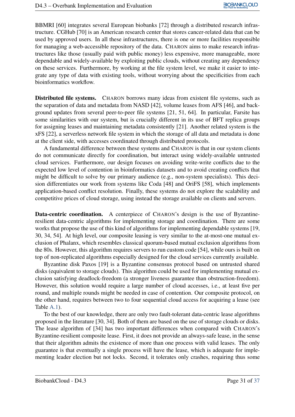BBMRI [60] integrates several European biobanks [72] through a distributed research infrastructure. CGHub [70] is an American research center that stores cancer-related data that can be used by approved users. In all these infrastructures, there is one or more facilities responsible for managing a web-accessible repository of the data. CHARON aims to make research infrastructures like those (usually paid with public money) less expensive, more manageable, more dependable and widely-available by exploiting public clouds, without creating any dependency on these services. Furthermore, by working at the file system level, we make it easier to integrate any type of data with existing tools, without worrying about the specificities from each bioinformatics workflow.

Distributed file systems. CHARON borrows many ideas from existent file systems, such as the separation of data and metadata from NASD [42], volume leases from AFS [46], and background updates from several peer-to-peer file systems [21, 51, 64]. In particular, Farsite has some similarities with our system, but is crucially different in its use of BFT replica groups for assigning leases and maintaining metadata consistently [21]. Another related system is the xFS [22], a serverless network file system in which the storage of all data and metadata is done at the client side, with accesses coordinated through distributed protocols.

A fundamental difference between these systems and CHARON is that in our system clients do not communicate directly for coordination, but interact using widely-available untrusted cloud services. Furthermore, our design focuses on avoiding write-write conflicts due to the expected low level of contention in bioinformatics datasets and to avoid creating conflicts that might be difficult to solve by our primary audience (e.g., non-system specialists). This decision differentiates our work from systems like Coda [48] and OriFS [58], which implements application-based conflict resolution. Finally, these systems do not explore the scalability and competitive prices of cloud storage, using instead the storage available on clients and servers.

Data-centric coordination. A centerpiece of CHARON's design is the use of Byzantineresilient data-centric algorithms for implementing storage and coordination. There are some works that propose the use of this kind of algorithms for implementing dependable systems [19, 30, 34, 54]. At high level, our composite leasing is very similar to the at-most-one mutual exclusion of Phalanx, which resembles classical quorum-based mutual exclusion algorithms from the 80s. However, this algorithm requires servers to run custom code [54], while ours is built on top of non-replicated algorithms especially designed for the cloud services currently available.

Byzantine disk Paxos [19] is a Byzantine consensus protocol based on untrusted shared disks (equivalent to storage clouds). This algorithm could be used for implementing mutual exclusion satisfying deadlock-freedom (a stronger liveness guarantee than obstruction-freedom). However, this solution would require a large number of cloud accesses, i.e., at least five per round, and multiple rounds might be needed in case of contention. Our composite protocol, on the other hand, requires between two to four sequential cloud access for acquiring a lease (see Table [A.1\)](#page-23-2).

To the best of our knowledge, there are only two fault-tolerant data-centric lease algorithms proposed in the literature [30, 34]. Both of them are based on the use of storage clouds or disks. The lease algorithm of [34] has two important differences when compared with CHARON's Byzantine-resilient composite lease. First, it does not provide an always-safe lease, in the sense that their algorithm admits the existence of more than one process with valid leases. The only guarantee is that eventually a single process will have the lease, which is adequate for implementing leader election but not locks. Second, it tolerates only crashes, requiring thus some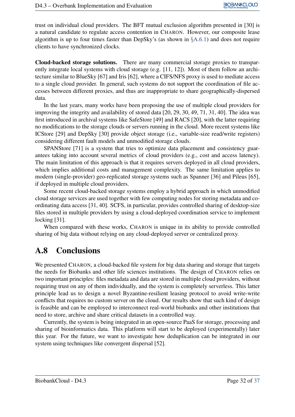trust on individual cloud providers. The BFT mutual exclusion algorithm presented in [30] is a natural candidate to regulate access contention in CHARON. However, our composite lease algorithm is up to four times faster than DepSky's (as shown in §[A.6.1\)](#page-28-0) and does not require clients to have synchronized clocks.

Cloud-backed storage solutions. There are many commercial storage proxies to transparently integrate local systems with cloud storage (e.g. [11, 12]). Most of them follow an architecture similar to BlueSky [67] and Iris [62], where a CIFS/NFS proxy is used to mediate access to a single cloud provider. In general, such systems do not support the coordination of file accesses between different proxies, and thus are inappropriate to share geographically-dispersed data.

In the last years, many works have been proposing the use of multiple cloud providers for improving the integrity and availability of stored data [20, 29, 30, 49, 71, 31, 40]. The idea was first introduced in archival systems like SafeStore [49] and RACS [20], with the latter requiring no modifications to the storage clouds or servers running in the cloud. More recent systems like ICStore [29] and DepSky [30] provide object storage (i.e., variable-size read/write registers) considering different fault models and unmodified storage clouds.

SPANStore [71] is a system that tries to optimize data placement and consistency guarantees taking into account several metrics of cloud providers (e.g., cost and access latency). The main limitation of this approach is that it requires servers deployed in all cloud providers, which implies additional costs and management complexity. The same limitation applies to modern (single-provider) geo-replicated storage systems such as Spanner [36] and Pileus [65], if deployed in multiple cloud providers.

Some recent cloud-backed storage systems employ a hybrid approach in which unmodified cloud storage services are used together with few computing nodes for storing metadata and coordinating data access [31, 40]. SCFS, in particular, provides controlled sharing of desktop-size files stored in multiple providers by using a cloud-deployed coordination service to implement locking [31].

When compared with these works, CHARON is unique in its ability to provide controlled sharing of big data without relying on any cloud-deployed server or centralized proxy.

#### <span id="page-34-0"></span>A.8 Conclusions

We presented CHARON, a cloud-backed file system for big data sharing and storage that targets the needs for Biobanks and other life sciences institutions. The design of CHARON relies on two important principles: files metadata and data are stored in multiple cloud providers, without requiring trust on any of them individually, and the system is completely serverless. This latter principle lead us to design a novel Byzantine-resilient leasing protocol to avoid write-write conflicts that requires no custom server on the cloud. Our results show that such kind of design is feasible and can be employed to interconnect real-world biobanks and other institutions that need to store, archive and share critical datasets in a controlled way.

Currently, the system is being integrated in an open-source PaaS for storage, processing and sharing of bioinformatics data. This platform will start to be deployed (experimentally) later this year. For the future, we want to investigate how deduplication can be integrated in our system using techniques like convergent dispersal [52].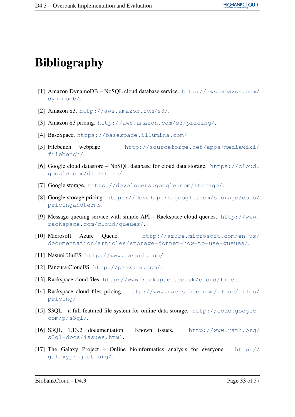# Bibliography

- [1] Amazon DynamoDB NoSQL cloud database service. [http://aws.amazon.com/](http://aws.amazon.com/dynamodb/) [dynamodb/](http://aws.amazon.com/dynamodb/).
- [2] Amazon S3. <http://aws.amazon.com/s3/>.
- [3] Amazon S3 pricing. <http://aws.amazon.com/s3/pricing/>.
- [4] BaseSpace. <https://basespace.illumina.com/>.
- [5] Filebench webpage. [http://sourceforge.net/apps/mediawiki/](http://sourceforge.net/apps/mediawiki/filebench/) [filebench/](http://sourceforge.net/apps/mediawiki/filebench/).
- [6] Google cloud datastore NoSQL database for cloud data storage. [https://cloud.](https://cloud.google.com/datastore/) [google.com/datastore/](https://cloud.google.com/datastore/).
- [7] Google storage. <https://developers.google.com/storage/>.
- [8] Google storage pricing. [https://developers.google.com/storage/docs/](https://developers.google.com/storage/docs/pricingandterms) [pricingandterms](https://developers.google.com/storage/docs/pricingandterms).
- [9] Message queuing service with simple API Rackspace cloud queues. [http://www.](http://www.rackspace.com/cloud/queues/) [rackspace.com/cloud/queues/](http://www.rackspace.com/cloud/queues/).
- [10] Microsoft Azure Queue. [http://azure.microsoft.com/en-us/](http://azure.microsoft.com/en-us/documentation/articles/storage-dotnet-how-to-use-queues/) [documentation/articles/storage-dotnet-how-to-use-queues/](http://azure.microsoft.com/en-us/documentation/articles/storage-dotnet-how-to-use-queues/).
- [11] Nasuni UniFS. <http://www.nasuni.com/>.
- [12] Panzura CloudFS. <http://panzura.com/>.
- [13] Rackspace cloud files. <http://www.rackspace.co.uk/cloud/files>.
- [14] Rackspace cloud files pricing. [http://www.rackspace.com/cloud/files/](http://www.rackspace.com/cloud/files/pricing/) [pricing/](http://www.rackspace.com/cloud/files/pricing/).
- [15] S3QL a full-featured file system for online data storage. [http://code.google.](http://code.google.com/p/s3ql/) [com/p/s3ql/](http://code.google.com/p/s3ql/).
- [16] S3QL 1.13.2 documentation: Known issues. [http://www.rath.org/](http://www.rath.org/s3ql-docs/issues.html) [s3ql-docs/issues.html](http://www.rath.org/s3ql-docs/issues.html).
- [17] The Galaxy Project Online bioinformatics analysis for everyone. [http://](http://galaxyproject.org/) [galaxyproject.org/](http://galaxyproject.org/).

BiobankCloud - D4.3 Page 33 of [37](#page-39-0)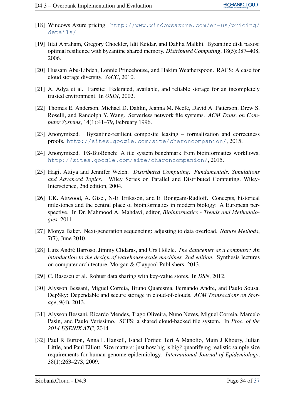- [18] Windows Azure pricing. [http://www.windowsazure.com/en-us/pricing/](http://www.windowsazure.com/en-us/pricing/details/) [details/](http://www.windowsazure.com/en-us/pricing/details/).
- [19] Ittai Abraham, Gregory Chockler, Idit Keidar, and Dahlia Malkhi. Byzantine disk paxos: optimal resilience with byzantine shared memory. *Distributed Computing*, 18(5):387–408, 2006.
- [20] Hussam Abu-Libdeh, Lonnie Princehouse, and Hakim Weatherspoon. RACS: A case for cloud storage diversity. *SoCC*, 2010.
- [21] A. Adya et al. Farsite: Federated, available, and reliable storage for an incompletely trusted environment. In *OSDI*, 2002.
- [22] Thomas E. Anderson, Michael D. Dahlin, Jeanna M. Neefe, David A. Patterson, Drew S. Roselli, and Randolph Y. Wang. Serverless network file systems. *ACM Trans. on Computer Systems*, 14(1):41–79, February 1996.
- [23] Anonymized. Byzantine-resilient composite leasing formalization and correctness proofs. <http://sites.google.com/site/charoncompanion/>, 2015.
- [24] Anonymized. FS-BioBench: A file system benchmark from bioinformatics workflows. <http://sites.google.com/site/charoncompanion/>, 2015.
- [25] Hagit Attiya and Jennifer Welch. *Distributed Computing: Fundamentals, Simulations and Advanced Topics*. Wiley Series on Parallel and Distributed Computing. Wiley-Interscience, 2nd edition, 2004.
- [26] T.K. Attwood, A. Gisel, N-E. Eriksson, and E. Bongcam-Rudloff. Concepts, historical milestones and the central place of bioinformatics in modern biology: A European perspective. In Dr. Mahmood A. Mahdavi, editor, *Bioinformatics - Trends and Methodologies*. 2011.
- [27] Monya Baker. Next-generation sequencing: adjusting to data overload. *Nature Methods*, 7(7), June 2010.
- [28] Luiz André Barroso, Jimmy Clidaras, and Urs Hölzle. *The datacenter as a computer: An introduction to the design of warehouse-scale machines, 2nd edition*. Synthesis lectures on computer architecture. Morgan & Claypool Publishers, 2013.
- [29] C. Basescu et al. Robust data sharing with key-value stores. In *DSN*, 2012.
- [30] Alysson Bessani, Miguel Correia, Bruno Quaresma, Fernando Andre, and Paulo Sousa. DepSky: Dependable and secure storage in cloud-of-clouds. *ACM Transactions on Storage*, 9(4), 2013.
- [31] Alysson Bessani, Ricardo Mendes, Tiago Oliveira, Nuno Neves, Miguel Correia, Marcelo Pasin, and Paulo Verissimo. SCFS: a shared cloud-backed file system. In *Proc. of the 2014 USENIX ATC*, 2014.
- [32] Paul R Burton, Anna L Hansell, Isabel Fortier, Teri A Manolio, Muin J Khoury, Julian Little, and Paul Elliott. Size matters: just how big is big? quantifying realistic sample size requirements for human genome epidemiology. *International Journal of Epidemiology*, 38(1):263–273, 2009.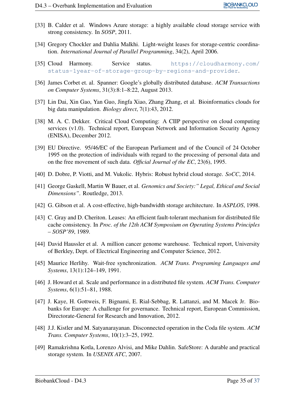- [33] B. Calder et al. Windows Azure storage: a highly available cloud storage service with strong consistency. In *SOSP*, 2011.
- [34] Gregory Chockler and Dahlia Malkhi. Light-weight leases for storage-centric coordination. *International Journal of Parallel Programming*, 34(2), April 2006.
- [35] Cloud Harmony. Service status. [https://cloudharmony.com/](https://cloudharmony.com/status-1year-of-storage-group-by-regions-and-provider) [status-1year-of-storage-group-by-regions-and-provider](https://cloudharmony.com/status-1year-of-storage-group-by-regions-and-provider).
- [36] James Corbet et. al. Spanner: Google's globally distributed database. *ACM Transactions on Computer Systems*, 31(3):8:1–8:22, August 2013.
- [37] Lin Dai, Xin Gao, Yan Guo, Jingfa Xiao, Zhang Zhang, et al. Bioinformatics clouds for big data manipulation. *Biology direct*, 7(1):43, 2012.
- [38] M. A. C. Dekker. Critical Cloud Computing: A CIIP perspective on cloud computing services (v1.0). Technical report, European Network and Information Security Agency (ENISA), December 2012.
- [39] EU Directive. 95/46/EC of the European Parliament and of the Council of 24 October 1995 on the protection of individuals with regard to the processing of personal data and on the free movement of such data. *Official Journal of the EC*, 23(6), 1995.
- [40] D. Dobre, P. Viotti, and M. Vukolic. Hybris: Robust hybrid cloud storage. *SoCC*, 2014.
- [41] George Gaskell, Martin W Bauer, et al. *Genomics and Society:" Legal, Ethical and Social Dimensions"*. Routledge, 2013.
- [42] G. Gibson et al. A cost-effective, high-bandwidth storage architecture. In *ASPLOS*, 1998.
- [43] C. Gray and D. Cheriton. Leases: An efficient fault-tolerant mechanism for distributed file cache consistency. In *Proc. of the 12th ACM Symposium on Operating Systems Principles – SOSP'89*, 1989.
- [44] David Haussler et al. A million cancer genome warehouse. Technical report, University of Berkley, Dept. of Electrical Engineering and Computer Science, 2012.
- [45] Maurice Herlihy. Wait-free synchronization. *ACM Trans. Programing Languages and Systems*, 13(1):124–149, 1991.
- [46] J. Howard et al. Scale and performance in a distributed file system. *ACM Trans. Computer Systems*, 6(1):51–81, 1988.
- [47] J. Kaye, H. Gottweis, F. Bignami, E. Rial-Sebbag, R. Lattanzi, and M. Macek Jr. Biobanks for Europe: A challenge for governance. Technical report, European Commission, Directorate-General for Research and Innovation, 2012.
- [48] J.J. Kistler and M. Satyanarayanan. Disconnected operation in the Coda file system. *ACM Trans. Computer Systems*, 10(1):3–25, 1992.
- [49] Ramakrishna Kotla, Lorenzo Alvisi, and Mike Dahlin. SafeStore: A durable and practical storage system. In *USENIX ATC*, 2007.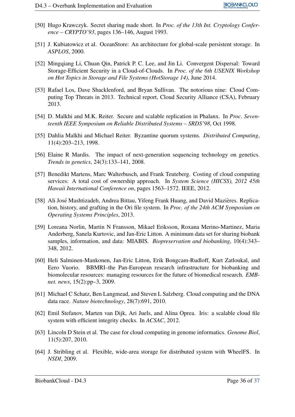- [50] Hugo Krawczyk. Secret sharing made short. In *Proc. of the 13th Int. Cryptology Conference – CRYPTO'93*, pages 136–146, August 1993.
- [51] J. Kubiatowicz et al. OceanStore: An architecture for global-scale persistent storage. In *ASPLOS*, 2000.
- [52] Mingqiang Li, Chuan Qin, Patrick P. C. Lee, and Jin Li. Convergent Dispersal: Toward Storage-Efficient Security in a Cloud-of-Clouds. In *Proc. of the 6th USENIX Workshop on Hot Topics in Storage and File Systems (HotStorage 14)*, June 2014.
- [53] Rafael Los, Dave Shacklenford, and Bryan Sullivan. The notorious nine: Cloud Computing Top Threats in 2013. Technical report, Cloud Security Alliance (CSA), February 2013.
- [54] D. Malkhi and M.K. Reiter. Secure and scalable replication in Phalanx. In *Proc. Seventeenth IEEE Symposium on Reliable Distributed Systems – SRDS'98*, Oct 1998.
- [55] Dahlia Malkhi and Michael Reiter. Byzantine quorum systems. *Distributed Computing*, 11(4):203–213, 1998.
- [56] Elaine R Mardis. The impact of next-generation sequencing technology on genetics. *Trends in genetics*, 24(3):133–141, 2008.
- [57] Benedikt Martens, Marc Walterbusch, and Frank Teuteberg. Costing of cloud computing services: A total cost of ownership approach. In *System Science (HICSS), 2012 45th Hawaii International Conference on*, pages 1563–1572. IEEE, 2012.
- [58] Ali José Mashtizadeh, Andrea Bittau, Yifeng Frank Huang, and David Mazières. Replication, history, and grafting in the Ori file system. In *Proc. of the 24th ACM Symposium on Operating Systems Principles*, 2013.
- [59] Loreana Norlin, Martin N Fransson, Mikael Eriksson, Roxana Merino-Martinez, Maria Anderberg, Sanela Kurtovic, and Jan-Eric Litton. A minimum data set for sharing biobank samples, information, and data: MIABIS. *Biopreservation and biobanking*, 10(4):343– 348, 2012.
- [60] Heli Salminen-Mankonen, Jan-Eric Litton, Erik Bongcam-Rudloff, Kurt Zatloukal, and Eero Vuorio. BBMRI–the Pan-European research infrastructure for biobanking and biomolecular resources: managing resources for the future of biomedical research. *EMBnet. news*, 15(2):pp–3, 2009.
- [61] Michael C Schatz, Ben Langmead, and Steven L Salzberg. Cloud computing and the DNA data race. *Nature biotechnology*, 28(7):691, 2010.
- [62] Emil Stefanov, Marten van Dijk, Ari Juels, and Alina Oprea. Iris: a scalable cloud file system with efficient integrity checks. In *ACSAC*, 2012.
- [63] Lincoln D Stein et al. The case for cloud computing in genome informatics. *Genome Biol*, 11(5):207, 2010.
- [64] J. Stribling et al. Flexible, wide-area storage for distributed system with WheelFS. In *NSDI*, 2009.